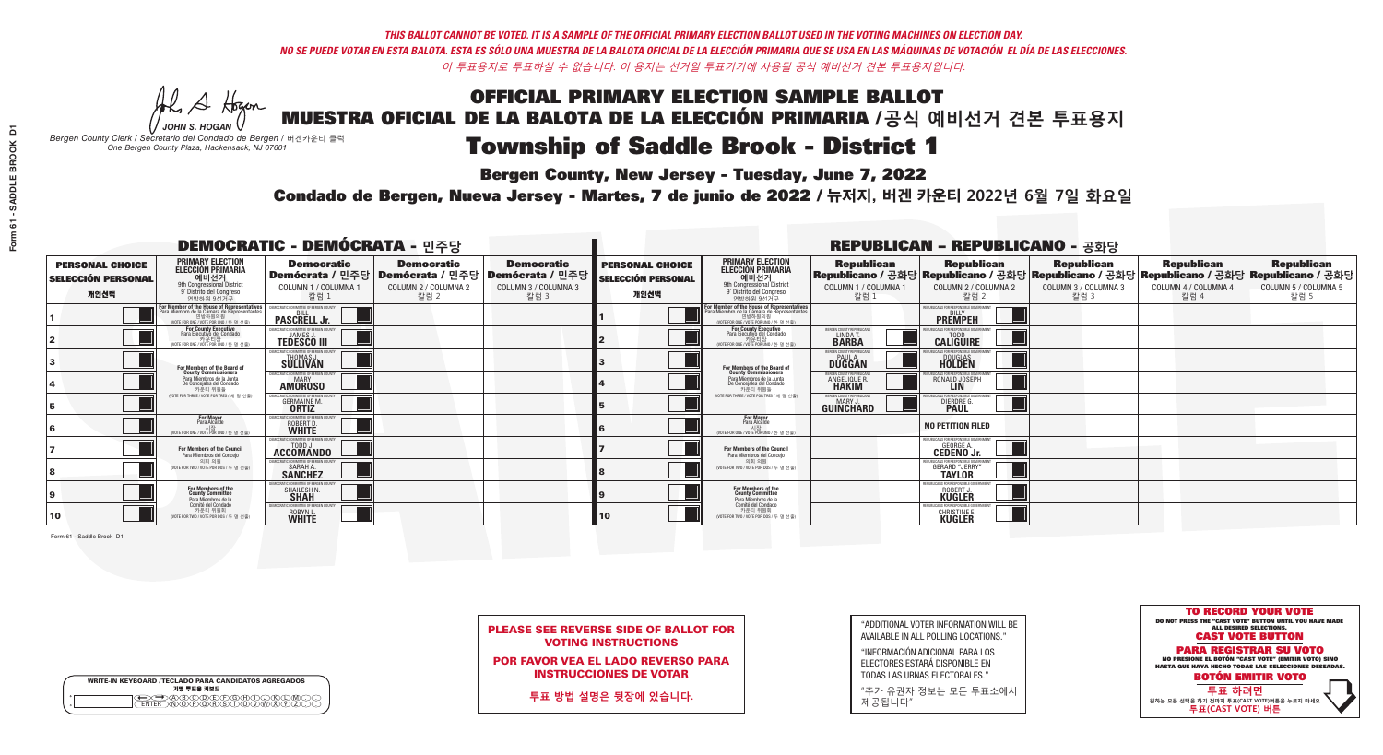# **Bergen County, New Jersey - Tuesday, June 7, 2022**

A Hogan *JOHN S. HOGAN*

| <b>WRITE-IN KEYBOARD /TECLADO PARA CANDIDATOS AGREGADOS</b><br>기명 투표용 키보드 |  |
|---------------------------------------------------------------------------|--|
| DA BOO DE PO BOO BO<br>DIN Q BORSTUMMARY<br><b>ENTER</b>                  |  |

*Bergen County Clerk / Secretario del Condado de Bergen /* 버겐카운티 클럭 *One Bergen County Plaza, Hackensack, NJ 07601*



PLEASE SEE REVERSE SIDE OF BALLOT FOR VOTING INSTRUCTIONS

POR FAVOR VEA EL LADO REVERSO PARA INSTRUCCIONES DE VOTAR

**투표 방법 설명은 뒷장에 있습니다.**

"ADDITIONAL VOTER INFORMATION WILL BE AVAILABLE IN ALL POLLING LOCATIONS."

"INFORMACIÓN ADICIONAL PARA LOS ELECTORES ESTARÁ DISPONIBLE EN TODAS LAS URNAS ELECTORALES."

"추가 유권자 정보는 모든 투표소에서 제공됩니다"

Condado de Bergen, Nueva Jersey - Martes, 7 de junio de 2022 / 뉴저지, 버겐 카운티 2022년 6월 7일 화요일 *One Bergen County Plaza, Hackensack, NJ 07601*

| <b>DEMOCRATIC - DEMÓCRATA - 민주당</b>                         |                                                                                                                                               |                                                                                  |                                                   |                                                                                                        |                                                             |                                                                                                                                                 |                                                           | <b>REPUBLICAN - REPUBLICANO - 공화당</b>                                                                                                                                                                       |                              |                              |                              |
|-------------------------------------------------------------|-----------------------------------------------------------------------------------------------------------------------------------------------|----------------------------------------------------------------------------------|---------------------------------------------------|--------------------------------------------------------------------------------------------------------|-------------------------------------------------------------|-------------------------------------------------------------------------------------------------------------------------------------------------|-----------------------------------------------------------|-------------------------------------------------------------------------------------------------------------------------------------------------------------------------------------------------------------|------------------------------|------------------------------|------------------------------|
| <b>PERSONAL CHOICE</b><br><b>SELECCIÓN PERSONAL</b><br>개인선택 | <b>PRIMARY ELECTION</b><br>ELECCIÓN PRIMARIA<br>예비선거<br><sup>9th</sup> Congressional District<br>9° Distrito del Congreso<br>연방하워 9선거구        | <b>Democratic</b><br>COLUMN 1 / COLUMNA 1<br>칼럼 1                                | <b>Democratic</b><br>COLUMN 2 / COLUMNA 2<br>칼럼 2 | <b>Democratic</b><br>│Demócrata / 민주당│Demócrata / 민주당│Demócrata / 민주당│<br>COLUMN 3 / COLUMNA 3<br>칼럼 3 | <b>PERSONAL CHOICE</b><br><b>SELECCIÓN PERSONAL</b><br>개인선택 | <b>PRIMARY ELECTION</b><br>ELECCIÓN PRIMARIA<br>9th Congressional District<br>9° Distrito del Congreso<br>연방하워 9선거구                             | COLUMN 1 / COLUMNA 1<br>칼럼                                | │ Republican   Republican   Republican   Republican   Republican   Republican<br>│Republicano / 공화당│Republicano / 공화당│Republicano / 공화당│Republicano / 공화당│Republicano / 공화당<br>COLUMN 2 / COLUMNA 2<br>칼럼 2 | COLUMN 3 / COLUMNA 3<br>칼럼 3 | COLUMN 4 / COLUMNA 4<br>칼럼 4 | COLUMN 5 / COLUMNA 5<br>칼럼 5 |
|                                                             | For Member of the House of Representatives<br>Para Miembro de la Cámara de Representantes<br>연방하원의원<br>(VOTE FOR ONE / VOTE POR UNO / 한 명 선출) | <b>PASCRELL Jr.</b>                                                              |                                                   |                                                                                                        |                                                             | F <mark>or Member of the House of Representatives</mark><br>Para Miembro de la Cámara de Representantes<br>WOTE FOR ONE / VOTE POR UNO / 한 명 선출 |                                                           | <b>PREMPEH</b>                                                                                                                                                                                              |                              |                              |                              |
|                                                             | <b>For County Executive</b><br>Para Ejecutivo del Condado<br>7 카운티장<br>(VOTE FOR ONE / VOTE POR UNO / 한 명 선출)                                 | JEMOCRATIC COMMITTEE OF BERGEN COUNTY<br><b>TEDESCO III</b>                      |                                                   |                                                                                                        |                                                             | For County Executive<br>Para Ejecutivo del Condado<br>7 카운티장<br>(VOTE FOR ONE / VOTE POR UNO / 한 명 선출                                           | BERGEN COUNTY REPUBLICAN<br><b>LINDAT</b><br><b>BARBA</b> | <b>CALIGUIRE</b>                                                                                                                                                                                            |                              |                              |                              |
|                                                             | For Members of the Board of<br>County Commissioners                                                                                           | MOCRATIC COMMITTEE OF BERGEN CI<br>THOMAS J.                                     |                                                   |                                                                                                        |                                                             | For Members of the Board of<br>County Commissioners                                                                                             | ERGEN COUNTY REPUBLICA<br><b>PAUL A.</b><br><b>DUGGAN</b> | <b>DOUGLAS</b><br><b>HOLDEN</b>                                                                                                                                                                             |                              |                              |                              |
|                                                             | Para Miembros de la Junta<br>De Concejales del Condado<br>카우티 위원들                                                                             | OCRATIC COMMITTEE OF BEBGEN COUN'<br><b>AMOROSO</b>                              |                                                   |                                                                                                        |                                                             | Para Miembros de la Junta<br>De Concejales del Condado<br>카우티 위원들                                                                               | ERGEN COUNTY REPUBLICAN<br><b>ANGELIQUE R<br/>HAKIM</b>   | ICANS FOR RESPONSIBI E GOV<br>RONALD JOSEPH                                                                                                                                                                 |                              |                              |                              |
|                                                             | NOTE FOR THREE / VOTE POR TRES / 세 명 선출)                                                                                                      | RATIC COMMUTTEE OF RERGEN COLIN<br><b>GERMAINE M.</b>                            |                                                   |                                                                                                        |                                                             | (VOTE FOR THREE / VOTE POR TRES / 세 명 선출)                                                                                                       | ERGEN COUNTY REPUBLICAN<br><b>GUINCHARD</b>               | DIERDRE G.                                                                                                                                                                                                  |                              |                              |                              |
|                                                             | <b>For Mayor</b><br>Para Alcalde<br>NOTE FOR ONE / VOTE POR UNO / 한 명                                                                         | MOCRATIC COMMITTEE OF BERGE<br>ROBERT D.                                         |                                                   |                                                                                                        |                                                             | For Mayor<br>Para Alcalde<br>NOTE FOR ONE / VOTE POR UNO / 한 명 선출                                                                               |                                                           | <b>NO PETITION FILED</b>                                                                                                                                                                                    |                              |                              |                              |
|                                                             | <b>For Members of the Council</b><br>Para Miembros del Conceio                                                                                | MOCRATIC COMMITTEE OF BERGEN COUNT:<br>ACCOMANDO                                 |                                                   |                                                                                                        |                                                             | <b>For Members of the Council</b><br>Para Miembros del Conceio                                                                                  |                                                           | EPUBLICANS FOR RESPONSIBLE GOVERNMENT<br><b>GEORGE A.</b><br><b>CEDENO Jr.</b>                                                                                                                              |                              |                              |                              |
|                                                             | 의회 의원<br>(VOTE FOR TWO / VOTE POR DOS / 두 명 선출)                                                                                               | <b>EMOCRATIC COMMITTEE OF BEBGEN COUNTY</b><br><b>SARAH A.</b><br><b>SANCHEZ</b> |                                                   |                                                                                                        |                                                             | 의회 의원<br>NOTE FOR TWO / VOTE POR DOS / 두 명 선출)                                                                                                  |                                                           | HRI ICANS ENR RESPONSIRI E GOVERNMEI<br><b>GERARD "JERRY"</b>                                                                                                                                               |                              |                              |                              |
|                                                             | For Members of the<br>County Committee<br>Para Miembros de la                                                                                 | SHAILESH N.                                                                      |                                                   |                                                                                                        |                                                             | For Members of the<br>County Committee<br>Para Miembros de la<br>Comité del Condado                                                             |                                                           | PHRI ICANS FOR RESPONSIRI F<br>ROBERT.<br><b>KÜGLER</b>                                                                                                                                                     |                              |                              |                              |
| 10                                                          | Comité del Condado<br>카운티 위원회<br>(VOTE FOR TWO / VOTE POR DOS / 두 명 선출)                                                                       | C COMMITTEE OF BERGEN COUNT<br>ROBYN L.                                          |                                                   |                                                                                                        | 10                                                          | 카운티 위원회<br>(VOTE FOR TWO / VOTE POR DOS / 두 명 선출)                                                                                               |                                                           | UBLICANS FOR RESPONSIBLE GOV<br>CHRISTINE E.                                                                                                                                                                |                              |                              |                              |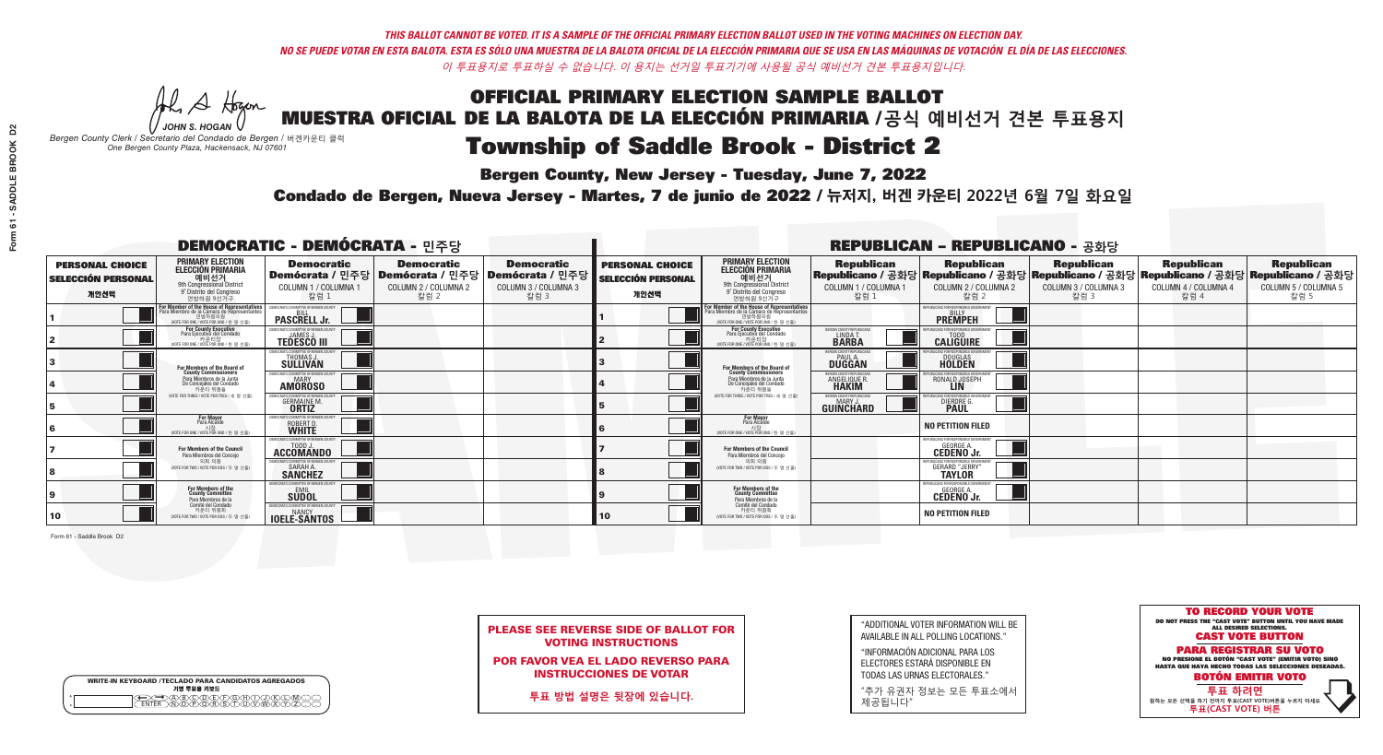A Hogan

**Bergen County, New Jersey - Tuesday, June 7, 2022** 

| <b>WRITE-IN KEYBOARD /TECLADO PARA CANDIDATOS AGREGADOS</b><br>기명 투표용 키보드 |  |
|---------------------------------------------------------------------------|--|
| <del>∠⊇</del> A®©®©©®®©®™©©®©<br>™™™©®©®®®©™™™®®®<br><b>FNTFR</b>         |  |

*JOHN S. HOGAN Bergen County Clerk / Secretario del Condado de Bergen /* 버겐카운티 클럭 *One Bergen County Plaza, Hackensack, NJ 07601*

Condado de Bergen, Nueva Jersey - Martes, 7 de junio de 2022 / 뉴저지, 버겐 카운티 2022년 6월 7일 화요일 *One Bergen County Plaza, Hackensack, NJ 07601*



PLEASE SEE REVERSE SIDE OF BALLOT FOR VOTING INSTRUCTIONS

POR FAVOR VEA EL LADO REVERSO PARA INSTRUCCIONES DE VOTAR

**투표 방법 설명은 뒷장에 있습니다.**

| "ADDITIONAL VOTER INFORMATION WILL BE |
|---------------------------------------|
| AVAILABLE IN ALL POLLING LOCATIONS."  |

"INFORMACIÓN ADICIONAL PARA LOS ELECTORES ESTARÁ DISPONIBLE EN TODAS LAS URNAS ELECTORALES."

"추가 유권자 정보는 모든 투표소에서 제공됩니다"

| <b>DEMOCRATIC - DEMÓCRATA - 민주당</b>                         |                                                                                                                                                    |                                                                                  |                                                   |                                                                                                        |                                                             |                                                                                                                                                     |                                                   | <b>REPUBLICAN - REPUBLICANO - 공화당</b>                                                                                                           |                                                   |                                                   |                                                   |
|-------------------------------------------------------------|----------------------------------------------------------------------------------------------------------------------------------------------------|----------------------------------------------------------------------------------|---------------------------------------------------|--------------------------------------------------------------------------------------------------------|-------------------------------------------------------------|-----------------------------------------------------------------------------------------------------------------------------------------------------|---------------------------------------------------|-------------------------------------------------------------------------------------------------------------------------------------------------|---------------------------------------------------|---------------------------------------------------|---------------------------------------------------|
| <b>PERSONAL CHOICE</b><br><b>SELECCIÓN PERSONAL</b><br>개인선택 | <b>PRIMARY ELECTION</b><br><b>ELECCIÓN PRIMARIA</b><br>예비선거<br>애 Congressional District<br>9° Distrito del Congreso<br>연방하원 9선거구                   | <b>Democratic</b><br>COLUMN 1 / COLUMNA 1<br>칼럼 1                                | <b>Democratic</b><br>COLUMN 2 / COLUMNA 2<br>칼럼 2 | <b>Democratic</b><br>│Demócrata / 민주당│Demócrata / 민주당│Demócrata / 민주당│<br>COLUMN 3 / COLUMNA 3<br>칼럼 3 | <b>PERSONAL CHOICE</b><br><b>SELECCIÓN PERSONAL</b><br>개인선택 | <b>PRIMARY ELECTION</b><br>ELECCIÓN PRIMARIA<br>9th Congressional District<br>9° Distrito del Congreso<br>연방하원 9선거구                                 | <b>Republican</b><br>COLUMN 1 / COLUMNA 1<br>칼럼 1 | <b>Republican</b><br>│Republicano / 공화당│Republicano / 공화당│Republicano / 공화당│Republicano / 공화당│Republicano / 공화당<br>COLUMN 2 / COLUMNA 2<br>칼럼 2 | <b>Republican</b><br>COLUMN 3 / COLUMNA 3<br>칼럼 3 | <b>Republican</b><br>COLUMN 4 / COLUMNA 4<br>칼럼 4 | <b>Republican</b><br>COLUMN 5 / COLUMNA 5<br>칼럼 5 |
|                                                             | <b>In Member of the House of Representatives<br/>Ira Miembro de la Cámara de Representantes</b><br>연방하원의원<br>(VOTE FOR ONE / VOTE POR UNO / 한 명 선출 | <b>PASCRELL Jr.</b>                                                              |                                                   |                                                                                                        |                                                             | <b>For Member of the House of Representatives<br/>Para Miembro de la Cámara de Representantes</b><br>연방하원의원<br>(VOTE FOR ONE / VOTE POR UNO / 한 명 : |                                                   | PUBLICANS FOR RESPONSIBLE GOVER<br><b>PREMPEH</b>                                                                                               |                                                   |                                                   |                                                   |
|                                                             | <b>For County Executive</b><br>Para Ejecutivo del Condado<br>가운티장 - 카운티장<br>(VOTE FOR ONE / VOTE POR UNO / 한 명 선출)                                 | EMOCRATIC COMMITTEE OF BERGEN COUNTY<br><b>TEDESCO III</b>                       |                                                   |                                                                                                        |                                                             | <b>For County Executive</b><br>Para Ejecutivo del Condado<br>가운티장<br>(VOTE FOR ONE / VOTE POR UNO / 한 명 선출)                                         | ERGEN COUNTY REPUBLICAN<br>LINDA T.               | <b>CALIGUIRE</b>                                                                                                                                |                                                   |                                                   |                                                   |
|                                                             | For Members of the Board of<br>County Commissioners                                                                                                | MOCRATIC COMMITTEE OF BERGEN CI<br><b>THOMAS J.</b><br><b>SULLIVAN</b>           |                                                   |                                                                                                        |                                                             | For Members of the Board of<br>County Commissioners                                                                                                 | ERGEN COUNTY REPUBLICAN<br><b>DUGGAN</b>          | <b>DOUGLAS</b>                                                                                                                                  |                                                   |                                                   |                                                   |
|                                                             | Para Miembros de la Junta<br>De Concejales del Condado<br>카우티 위원들                                                                                  | <b>MOCRATIC COMMITTEE OF BERGEN COUNT</b><br><b>AMOROSO</b>                      |                                                   |                                                                                                        |                                                             | Para Miembros de la Junta<br>De Concejales del Condado<br>카우티 위원들                                                                                   | ERGEN COUNTY REPUBLICAN<br>ANGELIQUE R.           | CANS FOR RESPONSIBLE GOVERN<br>RONALD JOSEPH                                                                                                    |                                                   |                                                   |                                                   |
|                                                             | (VOTE FOR THREE / VOTE POR TRES / 세 명 선출)                                                                                                          | RATIC COMMITTEE OF BERGEN COUNT<br><b>GERMAINE M.</b>                            |                                                   |                                                                                                        |                                                             | (VOTE FOR THREE / VOTE POR TRES / 세 명 선출)                                                                                                           | ERGEN COUNTY REPUBLICAN<br><b>GUINCHARD</b>       | ICANS FOR RESPONSIBI E G<br>DIERDRE G.                                                                                                          |                                                   |                                                   |                                                   |
|                                                             | <b>For Mayor</b><br>Para Alcalde<br>NOTE FOR ONE / VOTE POR UNO / 한 명 선출                                                                           | MOCRATIC COMMITTEE OF RERGEN C<br>ROBERT D.                                      |                                                   |                                                                                                        |                                                             | <b>For Mayor</b><br>Para Alcalde<br>NOTE FOR ONE / VOTE POR UNO / 한 명 선출)                                                                           |                                                   | <b>NO PETITION FILED</b>                                                                                                                        |                                                   |                                                   |                                                   |
|                                                             | <b>For Members of the Council</b><br>Para Miembros del Conceio                                                                                     | MOCRATIC COMMITTEE OF BERGEN COUNTY<br>ACCOMANDO                                 |                                                   |                                                                                                        |                                                             | For Members of the Council<br>Para Miembros del Conceio                                                                                             |                                                   | PUBLICANS FOR RESPONSIBLE GOVERNMENT<br><b>GEORGE A.</b><br><b>CEDENO Jr.</b>                                                                   |                                                   |                                                   |                                                   |
|                                                             | 의회 의원<br>(VOTE FOR TWO / VOTE POR DOS / 두 명 선출)                                                                                                    | <b>EMOCRATIC COMMITTEE OF BEBGEN COUNTY</b><br><b>SARAH A.</b><br><b>SANCHEZ</b> |                                                   |                                                                                                        |                                                             | 의회 의원<br>(VOTE FOR TWO / VOTE POR DOS / 두 명 선출)                                                                                                     |                                                   | HRI ICANS ENR RESPONSIRI E GOV<br><b>GERARD "JERRY"</b>                                                                                         |                                                   |                                                   |                                                   |
|                                                             | For Members of the<br>County Committee<br>Para Miembros de la                                                                                      | <b>SUDOL</b>                                                                     |                                                   |                                                                                                        |                                                             | For Members of the<br>County Committee<br>Para Miembros de la<br>Comité del Condado                                                                 |                                                   | PUBLICANS FOR RESPONSIBLE GO'<br><b>GEORGE A.</b><br><b>CEDENO Jr.</b>                                                                          |                                                   |                                                   |                                                   |
| 10                                                          | Comité del Condado<br>카운티 위원회<br>(VOTE FOR TWO / VOTE POR DOS / 두 명 선출)                                                                            | <b>EMOCRATIC COMMITTEE OF BERGEN COUNTY</b><br><b>IDELE-SANTOS</b>               |                                                   |                                                                                                        | 10                                                          | 카운티 위원회<br>(VOTE FOR TWO / VOTE POR DOS / 두 명 선출)                                                                                                   |                                                   | <b>NO PETITION FILED</b>                                                                                                                        |                                                   |                                                   |                                                   |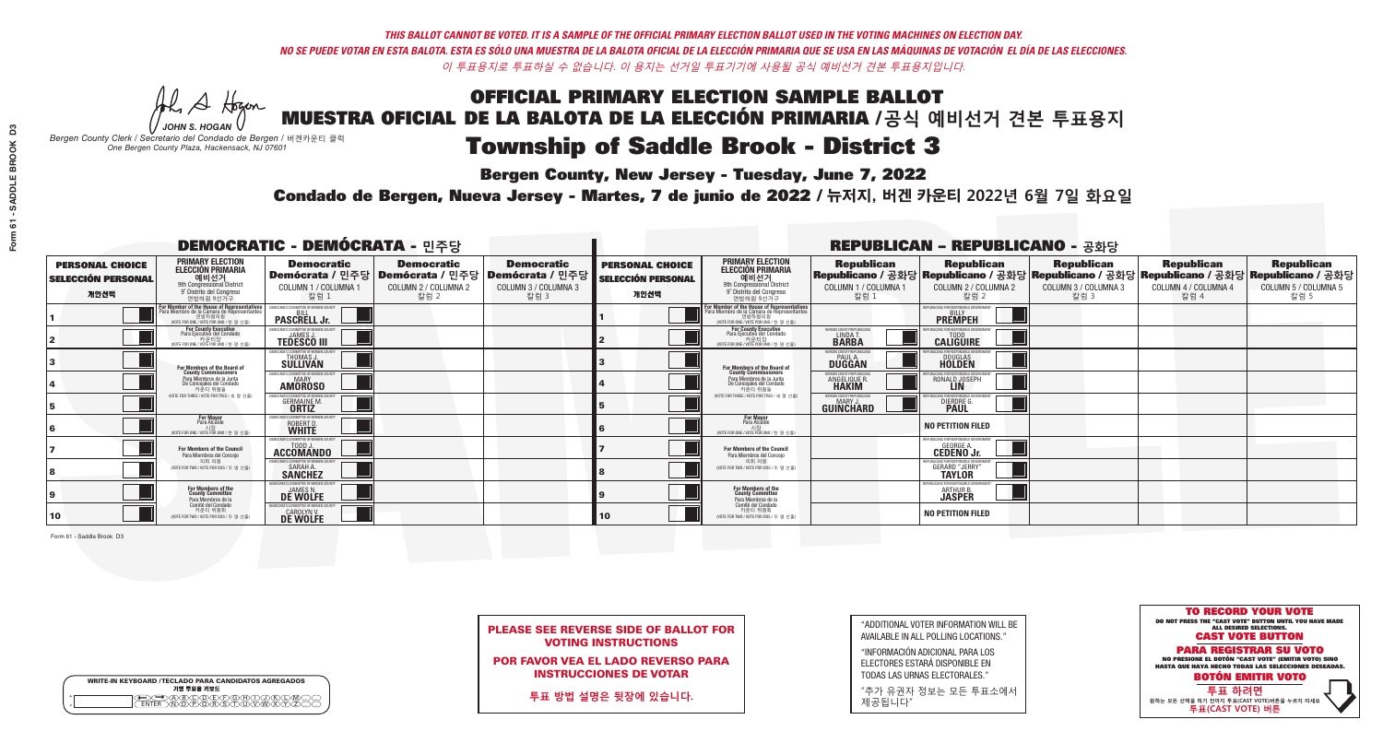**Bergen County, New Jersey - Tuesday, June 7, 2022** 

A Hogan *JOHN S. HOGAN*

| <b>WRITE-IN KEYBOARD /TECLADO PARA CANDIDATOS AGREGADOS</b><br>기명 투표용 키보드 |  |
|---------------------------------------------------------------------------|--|
| >@®©®®®®®<br>}M@®@®\$\$OW                                                 |  |

*Bergen County Clerk / Secretario del Condado de Bergen /* 버겐카운티 클럭 *One Bergen County Plaza, Hackensack, NJ 07601*

## Condado de Bergen, Nueva Jersey - Martes, 7 de junio de 2022 / 뉴저지, 버겐 카운티 2022년 6월 7일 화요일 *One Bergen County Plaza, Hackensack, NJ 07601*



PLEASE SEE REVERSE SIDE OF BALLOT FOR VOTING INSTRUCTIONS

POR FAVOR VEA EL LADO REVERSO PARA INSTRUCCIONES DE VOTAR

**투표 방법 설명은 뒷장에 있습니다.**

| "ADDITIONAL VOTER INFORMATION WILL BE |
|---------------------------------------|
| AVAILABLE IN ALL POLLING LOCATIONS."  |

"INFORMACIÓN ADICIONAL PARA LOS ELECTORES ESTARÁ DISPONIBLE EN TODAS LAS URNAS ELECTORALES."

"추가 유권자 정보는 모든 투표소에서 제공됩니다"

|                                                             |                                                                                                                                              | <b>DEMOCRATIC - DEMÓCRATA - 민주당</b>                                      |                                                                                                       |                                                   |                                                             |                                                                                                                                                      |                                                               | <b>REPUBLICAN - REPUBLICANO - 공화당</b>                                                                                                           |                                                   |                                                   |                                                   |
|-------------------------------------------------------------|----------------------------------------------------------------------------------------------------------------------------------------------|--------------------------------------------------------------------------|-------------------------------------------------------------------------------------------------------|---------------------------------------------------|-------------------------------------------------------------|------------------------------------------------------------------------------------------------------------------------------------------------------|---------------------------------------------------------------|-------------------------------------------------------------------------------------------------------------------------------------------------|---------------------------------------------------|---------------------------------------------------|---------------------------------------------------|
| <b>PERSONAL CHOICE</b><br><b>SELECCIÓN PERSONAL</b><br>개인선택 | <b>PRIMARY ELECTION</b><br><b>ELECCIÓN PRIMARIA</b><br>예비선거<br>9th Congressional District<br>9° Distrito del Congreso<br>연방하원 9선거구           | <b>Democratic</b><br>COLUMN 1 / COLUMNA 1<br>칼럼 :                        | <b>Democratic</b><br>│Demócrata / 민주당│Demócrata / 민주당│Demócrata / 민주당<br>COLUMN 2 / COLUMNA 2<br>칼럼 2 | <b>Democratic</b><br>COLUMN 3 / COLUMNA 3<br>칼럼 3 | <b>PERSONAL CHOICE</b><br><b>SELECCIÓN PERSONAL</b><br>개인선택 | <b>PRIMARY ELECTION</b><br>ELECCIÓN PRIMARIA<br>9th Congressional District<br>9° Distrito del Congreso<br>연방하원 9선거구                                  | <b>Republican</b><br>COLUMN 1 / COLUMNA 1<br>칼럼 1             | <b>Republican</b><br> Republicano / 공화당 Republicano / 공화당 Republicano / 공화당 Republicano / 공화당 Republicano / 공화당<br>COLUMN 2 / COLUMNA 2<br>칼럼 2 | <b>Republican</b><br>COLUMN 3 / COLUMNA 3<br>칼럼 3 | <b>Republican</b><br>COLUMN 4 / COLUMNA 4<br>칼럼 4 | <b>Republican</b><br>COLUMN 5 / COLUMNA 5<br>칼럼 5 |
|                                                             | or Member of the House of Representatives<br>'ara Miembro de la Cámara de Representantes<br>연방하원의원<br>(VOTE FOR ONE / VOTE POR UNO / 한 명 선출) | <b>PASCRELL Jr.</b>                                                      |                                                                                                       |                                                   |                                                             | <b>For Member of the House of Representatives<br/>Para Miembro de la Cámara de Representantes</b><br>연방하원의원<br>(VOTE FOR ONE / VOTE POR UNO / 한 명 선출 |                                                               | <b>PREMPEH</b>                                                                                                                                  |                                                   |                                                   |                                                   |
|                                                             | <b>For County Executive</b><br>Para Ejecutivo del Condado<br>WOTE FOR ONE / VOTE POR UNO / 한 명 선출)                                           | EMOCRATIC COMMITTEE OF BERGEN COUNTY<br><b>TEDESCO III</b>               |                                                                                                       |                                                   |                                                             | For County Executive<br>Para Ejecutivo del Condado<br>기준디싱<br>(VOTE FOR ONE / VOTE POR UNO / 한 명 선출                                                  | ERGEN COUNTY REPUBLICAN<br>LINDA T.                           | <b>CALIGUIRE</b>                                                                                                                                |                                                   |                                                   |                                                   |
|                                                             | For Members of the Board of<br>County Commissioners                                                                                          | THOMAS J.                                                                |                                                                                                       |                                                   |                                                             | For Members of the Board of<br>County Commissioners                                                                                                  | ERGEN COUNTY REPUBLICAN<br><b>PAUL A.</b><br><b>DUGGAN</b>    | <b>DOUGLAS</b>                                                                                                                                  |                                                   |                                                   |                                                   |
|                                                             | Para Miembros de la Junta<br>De Concejales del Condado<br>카우티 위원들                                                                            | MOCRATIC COMMITTEE OF BERGEN CO<br><b>AMOROSO</b>                        |                                                                                                       |                                                   |                                                             | Para Miembros de la Junta<br>De Concejales del Condado<br>카운티 위원들                                                                                    | ERGEN COUNTY REPUBLICAN<br><b>ANGELIQUE F</b><br><b>HAKIM</b> | RONALD JOSEPH                                                                                                                                   |                                                   |                                                   |                                                   |
|                                                             | NOTE FOR THREE / VOTE POR TRES / 세 명 선출)                                                                                                     | ITIC COMMITTEE OF RERGEN COLL<br><b>GERMAINE M.</b>                      |                                                                                                       |                                                   |                                                             | (VOTE FOR THREE / VOTE POR TRES / 세 명 선출)                                                                                                            | <b>ERGEN COUNTY REPUBLICANS</b><br><b>GUINCHARD</b>           | ILICANS FOR RESPONSIBLE G<br>DIERDRE G.                                                                                                         |                                                   |                                                   |                                                   |
|                                                             | <b>For Mayor</b><br>Para Alcalde<br>(VOTE FOR ONE / VOTE POR UNO / 한 명 /                                                                     | <b>EMOCRATIC COMMITTEE OF BERGEN COUNT</b><br>ROBERT D.<br><b>WHITE</b>  |                                                                                                       |                                                   |                                                             | For Mayor<br>Para Alcalde<br>(VOTE FOR ONE / VOTE POR UNO / 한 명 선출)                                                                                  |                                                               | <b>NO PETITION FILED</b>                                                                                                                        |                                                   |                                                   |                                                   |
|                                                             | For Members of the Council<br>Para Miembros del Conceio                                                                                      | <b>IMOCRATIC COMMITTEE OF BERGEN COUNTY</b><br><b>ACCOMANDO</b>          |                                                                                                       |                                                   |                                                             | <b>For Members of the Council</b><br>Para Miembros del Conceio                                                                                       |                                                               | PUBLICANS FOR RESPONSIBLE GOVERNMENT<br><b>GEORGE A.</b><br><b>CEDENO Jr.</b>                                                                   |                                                   |                                                   |                                                   |
|                                                             | 의회 의원<br>(VOTE FOR TWO / VOTE POR DOS / 두 명 선출)                                                                                              | MOCRATIC COMMITTEE OF BERGEN COUNTY<br><b>SARAH A.</b><br><b>SANCHEZ</b> |                                                                                                       |                                                   |                                                             | 의회 의원<br>NOTE FOR TWO / VOTE POR DOS / 두 명 선출)                                                                                                       |                                                               | <b>GERARD "JERRY"</b>                                                                                                                           |                                                   |                                                   |                                                   |
|                                                             | For Members of the<br>County Committee<br>Para Miembros de la                                                                                | DE WOLFE                                                                 |                                                                                                       |                                                   |                                                             | For Members of the<br>County Committee<br>Para Miembros de la<br>Comité del Condado                                                                  |                                                               | ARTHUR B.<br><b>JASPER</b>                                                                                                                      |                                                   |                                                   |                                                   |
| 10                                                          | Comité del Condado<br>카운티 위원회<br>(VOTE FOR TWO / VOTE POR DOS / 두 명 선출)                                                                      | <b>DE WOLFE</b>                                                          |                                                                                                       |                                                   | 10                                                          | 카운티 위원회<br>(VOTE FOR TWO / VOTE POR DOS / 두 명 선출)                                                                                                    |                                                               | <b>NO PETITION FILED</b>                                                                                                                        |                                                   |                                                   |                                                   |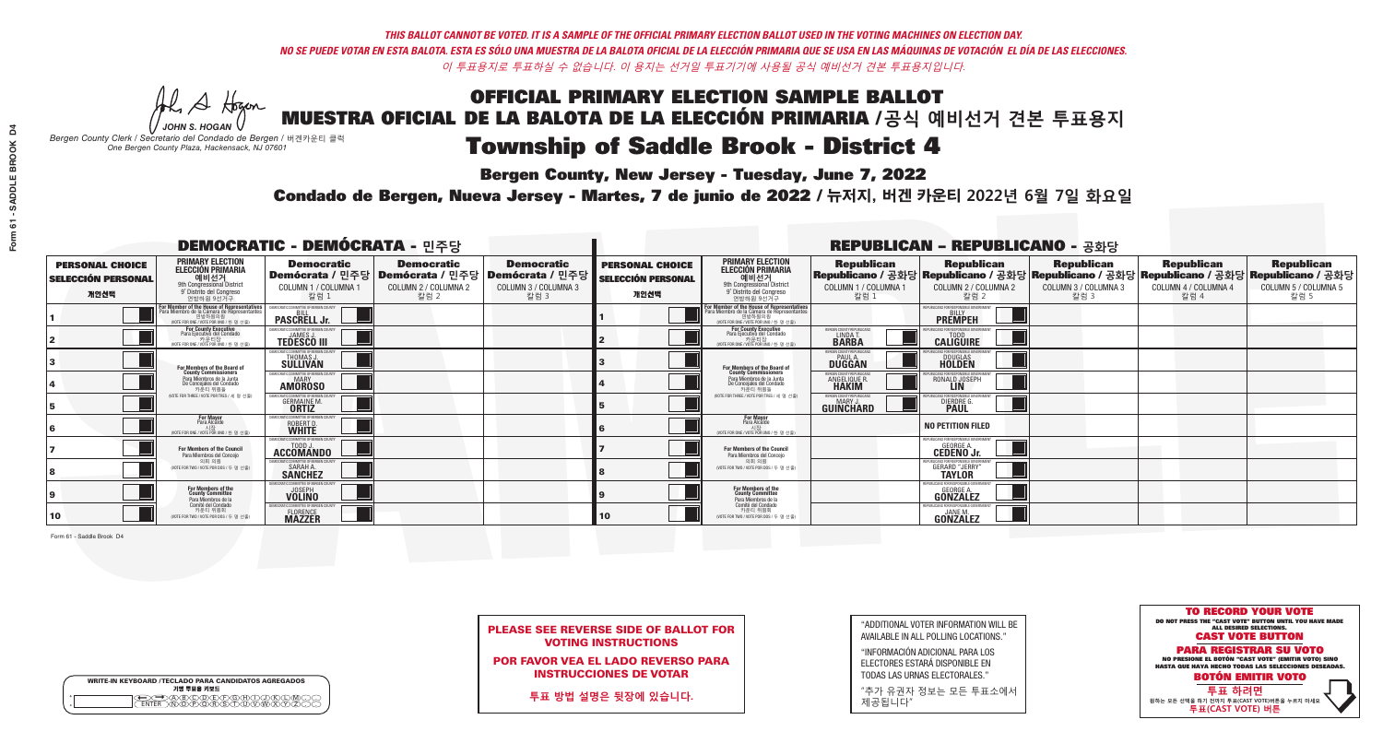# **Bergen County, New Jersey - Tuesday, June 7, 2022**

A Hogan *JOHN S. HOGAN*

| <b>WRITE-IN KEYBOARD /TECLADO PARA CANDIDATOS AGREGADOS</b><br>기명 투표용 키보드 |  |
|---------------------------------------------------------------------------|--|
| >@®©®®®®®®©®®<br>`™®®®®®®©™™®®<br><b>FNTFR</b>                            |  |

*Bergen County Clerk / Secretario del Condado de Bergen /* 버겐카운티 클럭 *One Bergen County Plaza, Hackensack, NJ 07601*



PLEASE SEE REVERSE SIDE OF BALLOT FOR VOTING INSTRUCTIONS

POR FAVOR VEA EL LADO REVERSO PARA INSTRUCCIONES DE VOTAR

**투표 방법 설명은 뒷장에 있습니다.**

"ADDITIONAL VOTER INFORMATION WILL BE AVAILABLE IN ALL POLLING LOCATIONS."

"INFORMACIÓN ADICIONAL PARA LOS ELECTORES ESTARÁ DISPONIBLE EN TODAS LAS URNAS ELECTORALES."

"추가 유권자 정보는 모든 투표소에서 제공됩니다"

## Condado de Bergen, Nueva Jersey - Martes, 7 de junio de 2022 / 뉴저지, 버겐 카운티 2022년 6월 7일 화요일 *One Bergen County Plaza, Hackensack, NJ 07601*

|                                                             |                                                                                                                                               | <b>DEMOCRATIC - DEMÓCRATA - 민주당</b>                                      |                                                                                        |                                                                      |                                                             |                                                                                                                                                       |                                                 | <b>REPUBLICAN - REPUBLICANO - 공화당</b>                                                                                                           |                                                   |                                                   |                                                   |
|-------------------------------------------------------------|-----------------------------------------------------------------------------------------------------------------------------------------------|--------------------------------------------------------------------------|----------------------------------------------------------------------------------------|----------------------------------------------------------------------|-------------------------------------------------------------|-------------------------------------------------------------------------------------------------------------------------------------------------------|-------------------------------------------------|-------------------------------------------------------------------------------------------------------------------------------------------------|---------------------------------------------------|---------------------------------------------------|---------------------------------------------------|
| <b>PERSONAL CHOICE</b><br><b>SELECCIÓN PERSONAL</b><br>개인선택 | <b>PRIMARY ELECTION<br/>ELECCIÓN PRIMARIA</b><br>예비선거<br><sup>9th</sup> Congressional District<br>9° Distrito del Congreso<br>연방하원 9선거구       | <b>Democratic</b><br>COLUMN 1 / COLUMNA 1<br>칼럼 1                        | <b>Democratic</b><br>│Demócrata / 민주당│Demócrata / 민주당│<br>COLUMN 2 / COLUMNA 2<br>칼럼 2 | <b>Democratic</b><br>Demócrata / 민주당<br>COLUMN 3 / COLUMNA 3<br>칼럼 3 | <b>PERSONAL CHOICE</b><br><b>SELECCIÓN PERSONAL</b><br>개인선택 | <b>PRIMARY ELECTION</b><br>ELECCIÓN PRIMARIA<br>9th Congressional District<br>9° Distrito del Congreso<br>연방하원 9선거구                                   | <b>Republican</b><br>COLUMN 1 / COLUMNA 1<br>칼럼 | <b>Republican</b><br> Republicano / 공화당 Republicano / 공화당 Republicano / 공화당 Republicano / 공화당 Republicano / 공화당<br>COLUMN 2 / COLUMNA 2<br>칼럼 2 | <b>Republican</b><br>COLUMN 3 / COLUMNA 3<br>칼럼 3 | <b>Republican</b><br>COLUMN 4 / COLUMNA 4<br>칼럼 4 | <b>Republican</b><br>COLUMN 5 / COLUMNA 5<br>칼럼 5 |
|                                                             | For Member of the House of Representatives<br>Para Miembro de la Cámara de Representantes<br>연방하원의원<br>(VOTE FOR ONE / VOTE POR UNO / 한 명 선출) | <b>PASCRELL Jr.</b>                                                      |                                                                                        |                                                                      |                                                             | <b>For Member of the House of Representatives<br/>Para Miembro de la Cámara de Representantes</b><br>연방하원의원<br>(VOTE FOR ONE / VOTE POR UNO / 한 명 선출) |                                                 | <b>PREMPEH</b>                                                                                                                                  |                                                   |                                                   |                                                   |
|                                                             | For County Executive<br>Para Ejecutivo del Condado<br>가운티장<br>(VOTE FOR ONE / VOTE POR UNO / 한 명 선출)                                          | EMOCRATIC COMMITTEE OF BERGEN COUNTY<br><b>TEDESCO III</b>               |                                                                                        |                                                                      |                                                             | For County Executive<br>Para Ejecutivo del Condado<br>. 카운티장<br>(VOTE FOR ONE / VOTE POR UNO / 한 명 선출)                                                | BERGEN COUNTY REPUBLICA!<br>LINDA T.            | <b>CALIGUIRE</b>                                                                                                                                |                                                   |                                                   |                                                   |
|                                                             | For Members of the Board of<br>County Commissioners                                                                                           | EMOCRATIC COMMITTEE OF BERGEN<br><b>THOMAS J.</b><br><b>SULLIVAN</b>     |                                                                                        |                                                                      |                                                             | For Members of the Board of<br>County Commissioners                                                                                                   | ERGEN COUNTY REPUBLICA<br><b>PAUL A.</b>        | DOUGLAS<br>HOLDEN                                                                                                                               |                                                   |                                                   |                                                   |
|                                                             | Para Miembros de la Junta<br>De Concejales del Condado<br>카우티 위워들                                                                             | <b>10CRATIC COMMITTEE OF BERGEN COUN</b><br><b>AMOROSO</b>               |                                                                                        |                                                                      |                                                             | Para Miembros de la Junta<br>De Concejales del Condado<br>카우티 위워들                                                                                     | ERGEN COUNTY REPUBLICAN<br><b>ANGELIQUE F</b>   | CANS FOR RESPONSIBI E GO<br>RONALD JOSEPH                                                                                                       |                                                   |                                                   |                                                   |
|                                                             | (VOTE FOR THREE / VOTE POR TRES / 세 명 선출)                                                                                                     | <b>GERMAINE M.</b>                                                       |                                                                                        |                                                                      |                                                             | (VOTE FOR THREE / VOTE POR TRES / 세 명 선출)                                                                                                             | BERGEN COUNTY REPUBLICAN<br><b>GUINCHARD</b>    | DIERDRE G.                                                                                                                                      |                                                   |                                                   |                                                   |
|                                                             | <b>For Mayor</b><br>Para Alcalde<br>NOTE FOR ONE / VOTE POR UNO / 한 명 선출                                                                      | RATIC COMMITTEE OF BERGEN:<br>ROBERT D.                                  |                                                                                        |                                                                      |                                                             | <b>For Mayor</b><br>Para Alcalde<br>NOTE FOR ONE / VOTE POR UNO / 한 명 선출                                                                              |                                                 | <b>NO PETITION FILED</b>                                                                                                                        |                                                   |                                                   |                                                   |
|                                                             | <b>For Members of the Council</b><br>Para Miembros del Conceio                                                                                | VIOCRATIC COMMITTEE OF BERGEN COUNTY<br>ACCOMANDO                        |                                                                                        |                                                                      |                                                             | <b>For Members of the Council</b><br>Para Miembros del Conceio                                                                                        |                                                 | REPUBLICANS FOR RESPONSIBLE GOVERNMENT<br><b>CEDENO Jr.</b>                                                                                     |                                                   |                                                   |                                                   |
|                                                             | 의회 의원<br>(VOTE FOR TWO / VOTE POR DOS / 두 명 선출)                                                                                               | FMOCRATIC COMMITTEF OF BERGEN COUNT<br><b>SARAH A.</b><br><b>SANCHEZ</b> |                                                                                        |                                                                      |                                                             | 의회 의원<br>(VOTE FOR TWO / VOTE POR DOS / 두 명 선출)                                                                                                       |                                                 | <b>GERARD "JERRY"</b>                                                                                                                           |                                                   |                                                   |                                                   |
|                                                             | For Members of the<br>County Committee<br>Para Miembros de la                                                                                 | C COMMITTEE OF BERGEN CO<br><b>VOLINO</b>                                |                                                                                        |                                                                      |                                                             | <b>For Members of the<br/>County Committee</b><br>Para Miembros de la<br>Comité del Condado                                                           |                                                 | REPUBLICANS FOR RESPONSIBLE GOVERNMED<br>GEORGE A.<br>GONZALEZ                                                                                  |                                                   |                                                   |                                                   |
| 10                                                          | Comité del Condado<br>카운티 위원회<br>(VOTE FOR TWO / VOTE POR DOS / 두 명 선출)                                                                       | C COMMITTEE OF REBGEN COL<br><b>FLORENCE</b>                             |                                                                                        |                                                                      | <b>10</b>                                                   | 카운티 위원회<br>(VOTE FOR TWO / VOTE POR DOS / 두 명 선출)                                                                                                     |                                                 | PUBLICANS FOR RESPONSIBLE GOVERNMENT<br>JANE M.<br><b>GONZALEZ</b>                                                                              |                                                   |                                                   |                                                   |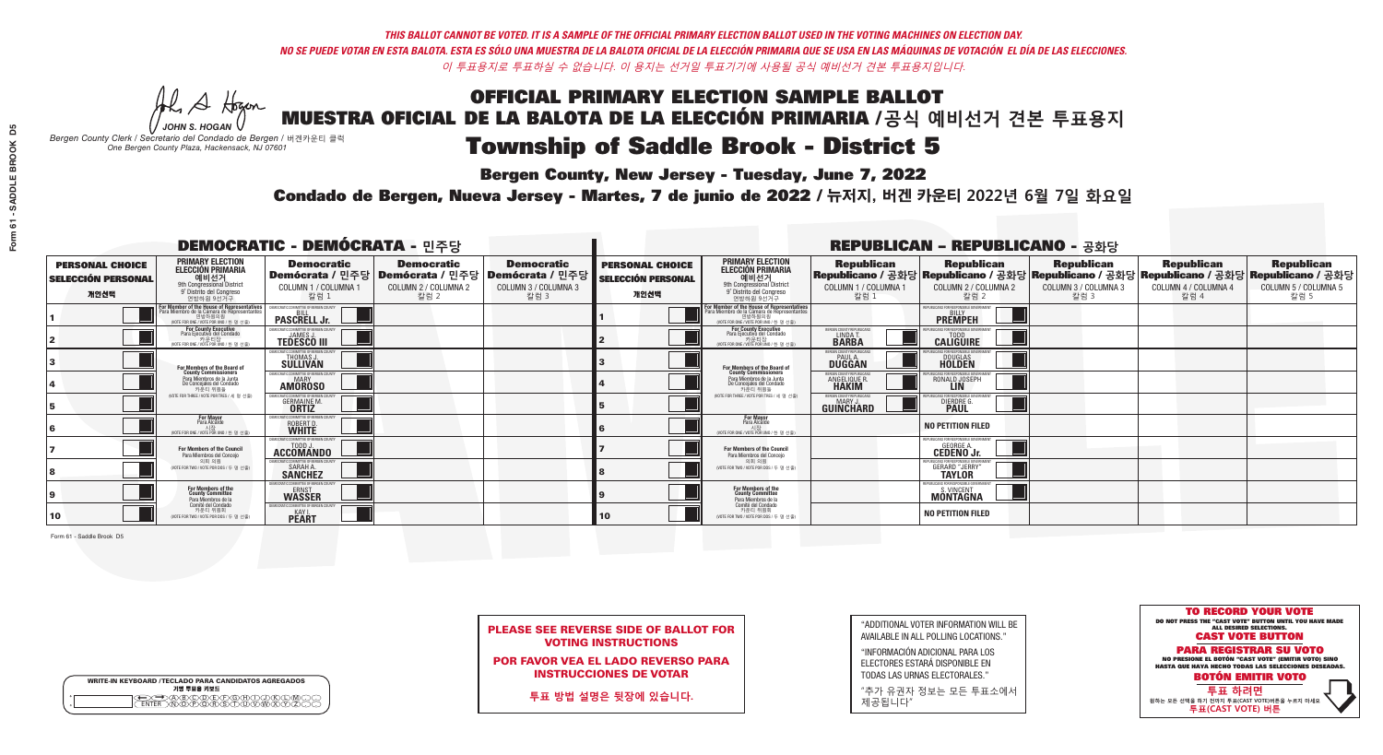**Bergen County, New Jersey - Tuesday, June 7, 2022** 

A Hogan *JOHN S. HOGAN*

| <b>WRITE-IN KEYBOARD /TECLADO PARA CANDIDATOS AGREGADOS</b><br>기명 투표용 키보드 |  |
|---------------------------------------------------------------------------|--|
| @@@@@@@@@QQ<br>\M@@@@&\$\DQ\W\X<br><b>FNTFR</b>                           |  |

*Bergen County Clerk / Secretario del Condado de Bergen /* 버겐카운티 클럭 *One Bergen County Plaza, Hackensack, NJ 07601*

Condado de Bergen, Nueva Jersey - Martes, 7 de junio de 2022 / 뉴저지, 버겐 카운티 2022년 6월 7일 화요일 *One Bergen County Plaza, Hackensack, NJ 07601*



PLEASE SEE REVERSE SIDE OF BALLOT FOR VOTING INSTRUCTIONS

POR FAVOR VEA EL LADO REVERSO PARA INSTRUCCIONES DE VOTAR

**투표 방법 설명은 뒷장에 있습니다.**

| "ADDITIONAL VOTER INFORMATION WILL BE |
|---------------------------------------|
| AVAILABLE IN ALL POLLING LOCATIONS."  |

"INFORMACIÓN ADICIONAL PARA LOS ELECTORES ESTARÁ DISPONIBLE EN TODAS LAS URNAS ELECTORALES."

"추가 유권자 정보는 모든 투표소에서 제공됩니다"

| <b>DEMOCRATIC - DEMÓCRATA - 민주당</b>                         |                                                                                                                                               |                                                                            |                                                   |                                                                                                        |                                                             | <b>REPUBLICAN - REPUBLICANO - 공화당</b>                                                                                                                |                                                              |                                                                                                                                                |                                                   |                                                   |                                                   |
|-------------------------------------------------------------|-----------------------------------------------------------------------------------------------------------------------------------------------|----------------------------------------------------------------------------|---------------------------------------------------|--------------------------------------------------------------------------------------------------------|-------------------------------------------------------------|------------------------------------------------------------------------------------------------------------------------------------------------------|--------------------------------------------------------------|------------------------------------------------------------------------------------------------------------------------------------------------|---------------------------------------------------|---------------------------------------------------|---------------------------------------------------|
| <b>PERSONAL CHOICE</b><br><b>SELECCIÓN PERSONAL</b><br>개인선택 | <b>PRIMARY ELECTION</b><br><b>ELECCIÓN PRIMARIA</b><br>예비선거<br><sup>9th</sup> Congressional District<br>9° Distrito del Congreso<br>연방하원 9선거구 | <b>Democratic</b><br>COLUMN 1 / COLUMNA 1<br>칼럼 1                          | <b>Democratic</b><br>COLUMN 2 / COLUMNA 2<br>칼럼 2 | <b>Democratic</b><br>│Demócrata / 민주당│Demócrata / 민주당│Demócrata / 민주당│<br>COLUMN 3 / COLUMNA 3<br>칼럼 3 | <b>PERSONAL CHOICE</b><br><b>SELECCIÓN PERSONAL</b><br>개인선택 | <b>PRIMARY ELECTION</b><br><b>ELECCIÓN PRIMARIA</b><br>예비선거<br>9th Congressional District<br>9° Distrito del Congreso<br>연방하원 9선거구                   | <b>Republican</b><br>COLUMN 1 / COLUMNA 1<br>칼럼 1            | <b>Republican</b><br>Republicano / 공화당 Republicano / 공화당 Republicano / 공화당 Republicano / 공화당 Republicano / 공화당<br>COLUMN 2 / COLUMNA 2<br>칼럼 2 | <b>Republican</b><br>COLUMN 3 / COLUMNA 3<br>칼럼 3 | <b>Republican</b><br>COLUMN 4 / COLUMNA 4<br>칼럼 4 | <b>Republican</b><br>COLUMN 5 / COLUMNA 5<br>칼럼 5 |
|                                                             | For Member of the House of Representatives<br>Para Miembro de la Cámara de Representantes<br>연방하원의원<br>(VOTE FOR ONE / VOTE POR UNO / 한 명 선출) | <b>PASCRELL Jr.</b>                                                        |                                                   |                                                                                                        |                                                             | <b>For Member of the House of Representatives<br/>Para Miembro de la Cámara de Representantes</b><br>연방하원의원<br>(VOTE FOR ONE / VOTE POR UNO / 한 명 선출 |                                                              | EPUBLICANS FOR RESPONSIBLE GOVERNMEN<br><b>PREMPEH</b>                                                                                         |                                                   |                                                   |                                                   |
|                                                             | For County Executive<br>Para Ejecutivo del Condado<br>가운티장<br>(VOTE FOR ONE / VOTE POR UNO / 한 명 선출)                                          | JEMOCRATIC COMMITTEE OF BERGEN COUNTY<br><b>TEDESCO III</b>                |                                                   |                                                                                                        |                                                             | <b>For County Executive</b><br>Para Ejecutivo del Condado<br>7 카운티장<br>(VOTE FOR ONE / VOTE POR UNO / 한 명 선출)                                        | BERGEN COUNTY REPUBLICAN<br>LINDA T.                         | <b>CALIGUIRE</b>                                                                                                                               |                                                   |                                                   |                                                   |
|                                                             | <b>For Members of the Board of<br/>County Commissioners</b>                                                                                   | <b>EMOCRATIC COMMITTEE OF BEBGEN COUNT</b><br><b>THOMAS J.</b><br>SULLIVAN |                                                   |                                                                                                        |                                                             | For Members of the Board of<br>County Commissioners                                                                                                  | ERGEN COUNTY REPUBLICAN<br><b>PAUL A.</b><br><b>DUGGAN</b>   | DOUGLAS<br>HOLDEN                                                                                                                              |                                                   |                                                   |                                                   |
|                                                             | Para Miembros de la Junta<br>De Concejales del Condado<br>카우티 위원들                                                                             | MOCRATIC COMMITTEE OF BERGEN COUNT<br><b>AMOROSO</b>                       |                                                   |                                                                                                        |                                                             | Para Miembros de la Junta<br>De Concejales del Condado<br>카운티 위원들                                                                                    | RGEN COUNTY REPUBLICAN<br><b>ANGELIQUE R</b><br><b>HAKIM</b> | RONALD JOSEPH                                                                                                                                  |                                                   |                                                   |                                                   |
|                                                             | NOTE FOR THREE / VOTE POR TRES / 세 명 선출)                                                                                                      | ICRATIC COMMITTEE OF RERGEN COLIN<br><b>GERMAINE M.</b><br><b>ORTIZ</b>    |                                                   |                                                                                                        |                                                             | (VOTE FOR THREE / VOTE POR TRES / 세 명 선출)                                                                                                            | ERGEN COUNTY REPUBLICANS<br><b>GUINCHARD</b>                 | ANS FOR RESPONSIBLE GOVERNMEN<br>DIERDRE G.                                                                                                    |                                                   |                                                   |                                                   |
|                                                             | <b>For Mayor</b><br>Para Alcalde<br>WOTE FOR ONE / VOTE POR UNO / 한 명 선                                                                       | EMOCRATIC COMMITTEE OF BERGEN COUNTY<br>ROBERT D.                          |                                                   |                                                                                                        |                                                             | For Mayor<br>Para Alcalde<br>시장<br>(VOTE FOR ONE / VOTE POR UNO / 한 명 선출)                                                                            |                                                              | <b>NO PETITION FILED</b>                                                                                                                       |                                                   |                                                   |                                                   |
|                                                             | <b>For Members of the Council</b><br>Para Miembros del Conceio                                                                                | EMOCRATIC COMMITTEE OF BERGEN COUNTY<br><b>ACCOMANDO</b>                   |                                                   |                                                                                                        |                                                             | <b>For Members of the Council</b><br>Para Miembros del Conceio                                                                                       |                                                              | EPUBLICANS FOR RESPONSIBLE GOVERNMENT<br><b>GEORGE A.</b><br><b>CEDENO Jr.</b>                                                                 |                                                   |                                                   |                                                   |
|                                                             | 의회 의원<br>(VOTE FOR TWO / VOTE POR DOS / 두 명 선출)                                                                                               | EMOCRATIC COMMITTEE OF BERGEN COUNT<br>SARAH A.                            |                                                   |                                                                                                        |                                                             | 의회 의원<br>(VOTE FOR TWO / VOTE POR DOS / 두 명 선출)                                                                                                      |                                                              | <b>GERARD "JERRY"</b>                                                                                                                          |                                                   |                                                   |                                                   |
|                                                             | For Members of the<br>County Committee<br>Para Miembros de la                                                                                 | MOCRATIC COMMITTEE OF BERGEN COUNTY<br>ERNST<br>WASSER                     |                                                   |                                                                                                        |                                                             | For Members of the<br>County Committee<br>Para Miembros de la<br>Comité del Condado                                                                  |                                                              | REPUBLICANS FOR RESPONSIBLE GOVERNMEN<br>S. VINCENT<br><b>MONTAGNA</b>                                                                         |                                                   |                                                   |                                                   |
| 10                                                          | Comité del Condado<br>카운티 위원회<br>(VOTE FOR TWO / VOTE POR DOS / 두 명 선출)                                                                       | MOCRATIC COMMITTEE OF RERGEN COUNTY<br><b>PEART</b>                        |                                                   |                                                                                                        | 10                                                          | 카운티 위원회<br>(VOTE FOR TWO / VOTE POR DOS / 두 명 선출)                                                                                                    |                                                              | <b>NO PETITION FILED</b>                                                                                                                       |                                                   |                                                   |                                                   |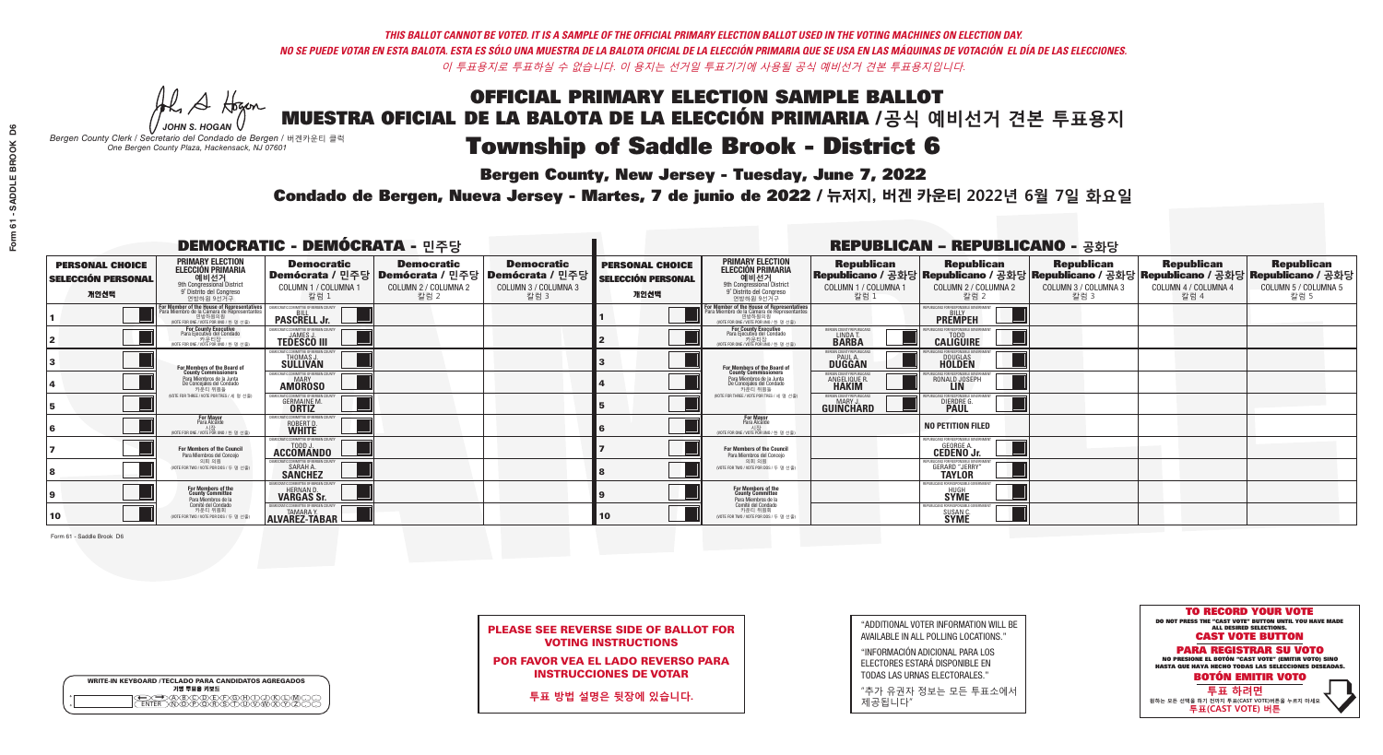# **Bergen County, New Jersey - Tuesday, June 7, 2022**

A Hogan *JOHN S. HOGAN*

| <b>WRITE-IN KEYBOARD /TECLADO PARA CANDIDATOS AGREGADOS</b><br>기명 투표용 키보드 |  |
|---------------------------------------------------------------------------|--|
| E@®©®®®®®®©®<br>B®®®®®®®®®®®®<br><b>FNTFR</b>                             |  |

*Bergen County Clerk / Secretario del Condado de Bergen /* 버겐카운티 클럭 *One Bergen County Plaza, Hackensack, NJ 07601*



PLEASE SEE REVERSE SIDE OF BALLOT FOR VOTING INSTRUCTIONS

POR FAVOR VEA EL LADO REVERSO PARA INSTRUCCIONES DE VOTAR

**투표 방법 설명은 뒷장에 있습니다.**

| "ADDITIONAL VOTER INFORMATION WILL BE |
|---------------------------------------|
| AVAILABLE IN ALL POLLING LOCATIONS."  |

"INFORMACIÓN ADICIONAL PARA LOS ELECTORES ESTARÁ DISPONIBLE EN TODAS LAS URNAS ELECTORALES."

"추가 유권자 정보는 모든 투표소에서 제공됩니다"

## Condado de Bergen, Nueva Jersey - Martes, 7 de junio de 2022 / 뉴저지, 버겐 카운티 2022년 6월 7일 화요일 *One Bergen County Plaza, Hackensack, NJ 07601*

| <b>DEMOCRATIC - DEMÓCRATA - 민주당</b>                         |                                                                                                                                                             |                                                                          |                                                   |                                                                                                       | <b>REPUBLICAN - REPUBLICANO - 공화당</b>                       |                                                                                                                                                  |                                                           |                                                                                                                                                 |                                                   |                                                   |                                                   |
|-------------------------------------------------------------|-------------------------------------------------------------------------------------------------------------------------------------------------------------|--------------------------------------------------------------------------|---------------------------------------------------|-------------------------------------------------------------------------------------------------------|-------------------------------------------------------------|--------------------------------------------------------------------------------------------------------------------------------------------------|-----------------------------------------------------------|-------------------------------------------------------------------------------------------------------------------------------------------------|---------------------------------------------------|---------------------------------------------------|---------------------------------------------------|
| <b>PERSONAL CHOICE</b><br><b>SELECCIÓN PERSONAL</b><br>개인선택 | <b>PRIMARY ELECTION</b><br><b>ELECCIÓN PRIMARIA</b><br>예비선거<br>애비선거<br>9° Distrito del Congreso<br>연방하원 9선거구                                                | <b>Democratic</b><br>COLUMN 1 / COLUMNA 1<br>칼럼 1                        | <b>Democratic</b><br>COLUMN 2 / COLUMNA 2<br>칼럼 2 | <b>Democratic</b><br>│Demócrata / 민주당│Demócrata / 민주당│Demócrata / 민주당<br>COLUMN 3 / COLUMNA 3<br>칼럼 3 | <b>PERSONAL CHOICE</b><br><b>SELECCIÓN PERSONAL</b><br>개인선택 | <b>PRIMARY ELECTION</b><br>ELECCIÓN PRIMARIA<br>9th Congressional District<br>9° Distrito del Congreso<br>연방하원 9선거구                              | <b>Republican</b><br>COLUMN 1 / COLUMNA 1<br>칼럼 1         | <b>Republican</b><br>│Republicano / 공화당│Republicano / 공화당│Republicano / 공화당│Republicano / 공화당│Republicano / 공화당<br>COLUMN 2 / COLUMNA 2<br>칼럼 2 | <b>Republican</b><br>COLUMN 3 / COLUMNA 3<br>칼럼 3 | <b>Republican</b><br>COLUMN 4 / COLUMNA 4<br>칼럼 4 | <b>Republican</b><br>COLUMN 5 / COLUMNA 5<br>칼럼 5 |
|                                                             | F <mark>or Member of the House of Representatives</mark><br>Para Miembro de la Cámara de Representantes<br>연방하원의원<br>(VOTE FOR ONE / VOTE POR UNO / 한 명 선출) | <b>PASCRELL Jr.</b>                                                      |                                                   |                                                                                                       |                                                             | F <mark>or Member of the House of Representatives</mark><br>Para Miembro de la Cámara de Representantes<br>(VOTE FOR ONE / VOTE POR UNO / 한 명 선출 |                                                           | <b>PREMPEH</b>                                                                                                                                  |                                                   |                                                   |                                                   |
|                                                             | For County Executive<br>Para Ejecutivo del Condado<br>가운티장<br>(VOTE FOR ONE / VOTE POR UNO / 한 명 선출)                                                        | <b>TEDESCO III</b>                                                       |                                                   |                                                                                                       |                                                             | For County Executive<br>Para Ejecutivo del Condado<br>7) 카운티장<br>(VOTE FOR ONE / VOTE POR UNO / 한 명 선출)                                          | BERGEN COUNTY REPUBLICA<br>LINDA T.                       | <b>CALIGUIRE</b>                                                                                                                                |                                                   |                                                   |                                                   |
|                                                             | For Members of the Board of<br>County Commissioners                                                                                                         | THOMAS J.                                                                |                                                   |                                                                                                       |                                                             | For Members of the Board of<br>County Commissioners                                                                                              | ERGEN COUNTY REPUBLICA<br><b>PAUL A.</b><br><b>DUGGAN</b> | <b>DOUGLAS</b>                                                                                                                                  |                                                   |                                                   |                                                   |
|                                                             | Para Miembros de la Junta<br>De Concejales del Condado<br>카우티 위원들                                                                                           | AOCRATIC COMMITTEE OF BERGEN COUNTY<br><b>AMOROSO</b>                    |                                                   |                                                                                                       |                                                             | Para Miembros de la Junta<br>De Concejales del Condado<br>카우티 위워들                                                                                | ERGEN COUNTY REPUBLICAN<br>ANGELIQUE R                    | ICANS FOR RESPONSIRI E GOVERNN<br>RONALD JOSEPH                                                                                                 |                                                   |                                                   |                                                   |
|                                                             | (VOTE FOR THREE / VOTE POR TRES / 세 명 선출)                                                                                                                   | GERMAINE M.                                                              |                                                   |                                                                                                       |                                                             | (VOTE FOR THREE / VOTE POR TRES / 세 명 선출)                                                                                                        | ERGEN COUNTY REPUBLICANS<br><b>GUINCHARD</b>              | DIERDRE G.                                                                                                                                      |                                                   |                                                   |                                                   |
|                                                             | <b>For Mayor</b><br>Para Alcalde<br>시장<br>(VOTE FOR ONE / VOTE POR UNO / 한 명 선원                                                                             | ROBERT D.<br><b>WHITE</b>                                                |                                                   |                                                                                                       |                                                             | <b>For Mayor</b><br>Para Alcalde<br>(VOTE FOR ONE / VOTE POR UNO / 한 명 선출)                                                                       |                                                           | <b>NO PETITION FILED</b>                                                                                                                        |                                                   |                                                   |                                                   |
|                                                             | For Members of the Council<br>Para Miembros del Conceio                                                                                                     | ACCOMANDO                                                                |                                                   |                                                                                                       |                                                             | For Members of the Council<br>Para Miembros del Concejo                                                                                          |                                                           | EPUBLICANS FOR RESPONSIBLE GOVERNME<br><b>CEDENO Jr.</b>                                                                                        |                                                   |                                                   |                                                   |
|                                                             | 의회 의원<br>(VOTE FOR TWO / VOTE POR DOS / 두 명 선출)                                                                                                             | MOCRATIC COMMITTEE OF BERGEN COUNTY<br><b>SARAH A.</b><br><b>SANCHEZ</b> |                                                   |                                                                                                       |                                                             | 의회 의원<br>(VOTE FOR TWO / VOTE POR DOS / 두 명 선출)                                                                                                  |                                                           | <b>GERARD "JERRY"</b>                                                                                                                           |                                                   |                                                   |                                                   |
|                                                             | For Members of the<br>County Committee<br>Para Miembros de la                                                                                               | HERNAN D.<br><b>VARGAS Sr.</b>                                           |                                                   |                                                                                                       |                                                             | For Members of the<br>County Committee<br>Para Miembros de la<br>Comité del Condado                                                              |                                                           | HUGH<br>SYME                                                                                                                                    |                                                   |                                                   |                                                   |
| 10                                                          | Comité del Condado<br>카우티 위원회<br>(VOTE FOR TWO / VOTE POR DOS / 두 명 선출)                                                                                     | ALVAREZ-TABAR                                                            |                                                   |                                                                                                       | 10                                                          | 카운티 위원회<br>(VOTE FOR TWO / VOTE POR DOS / 두 명 선출)                                                                                                |                                                           | PLIRI ICANS FOR RESPONSIRI F<br>SUSAN C.<br>SYME                                                                                                |                                                   |                                                   |                                                   |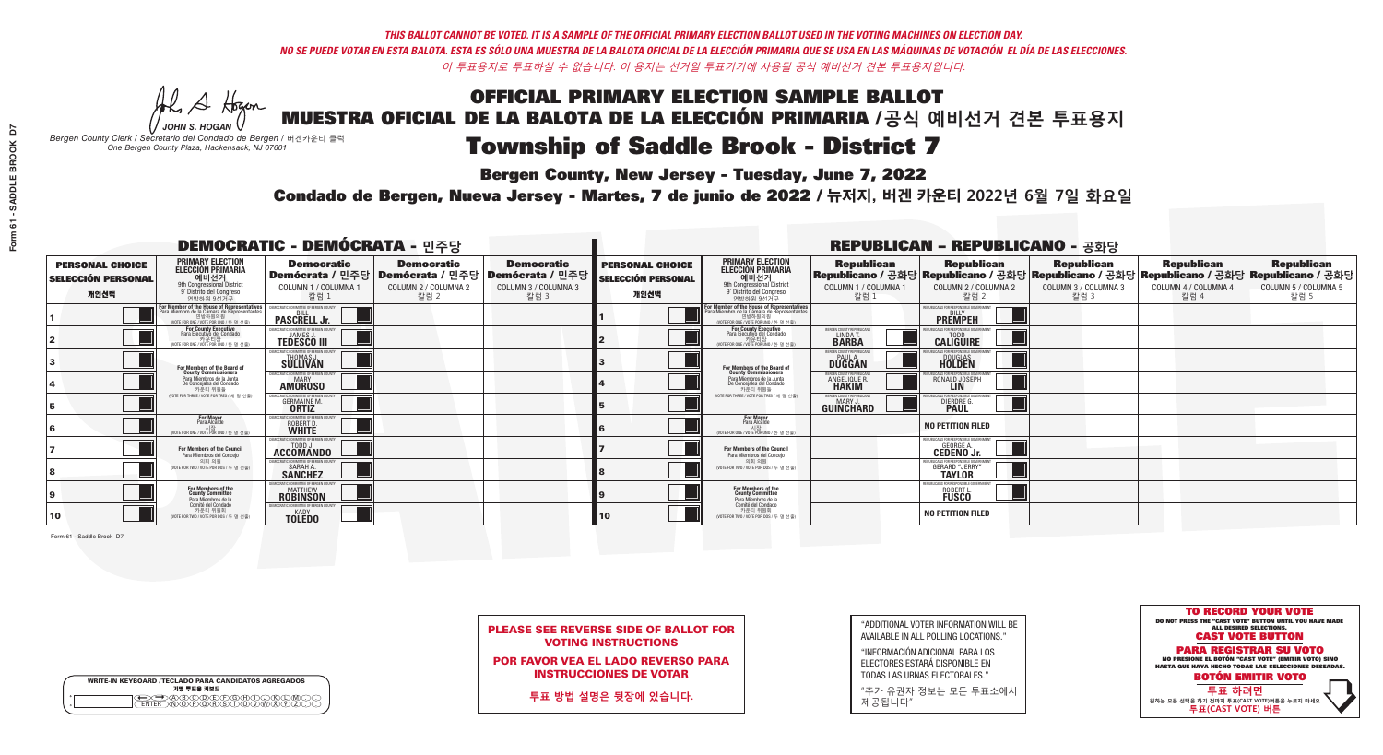# **Bergen County, New Jersey - Tuesday, June 7, 2022**

A Hogan *JOHN S. HOGAN*

| <b>WRITE-IN KEYBOARD /TECLADO PARA CANDIDATOS AGREGADOS</b><br>기명 투표용 키보드 |  |
|---------------------------------------------------------------------------|--|
| D <mark>A®©®©©©®</mark><br>DN@P@RSOD™                                     |  |

*Bergen County Clerk / Secretario del Condado de Bergen /* 버겐카운티 클럭 *One Bergen County Plaza, Hackensack, NJ 07601*

Condado de Bergen, Nueva Jersey - Martes, 7 de junio de 2022 / 뉴저지, 버겐 카운티 2022년 6월 7일 화요일 *One Bergen County Plaza, Hackensack, NJ 07601*



PLEASE SEE REVERSE SIDE OF BALLOT FOR VOTING INSTRUCTIONS

POR FAVOR VEA EL LADO REVERSO PARA INSTRUCCIONES DE VOTAR

**투표 방법 설명은 뒷장에 있습니다.**

| "ADDITIONAL VOTER INFORMATION WILL BE |
|---------------------------------------|
| AVAILABLE IN ALL POLLING LOCATIONS."  |

"INFORMACIÓN ADICIONAL PARA LOS ELECTORES ESTARÁ DISPONIBLE EN TODAS LAS URNAS ELECTORALES."

"추가 유권자 정보는 모든 투표소에서 제공됩니다"

| <b>DEMOCRATIC - DEMÓCRATA - 민주당</b>                         |                                                                                                                                               |                                                                          |                                                                                                       |                                                   |                                                             |                                                                                                                                                                  |                                                               | <b>REPUBLICAN - REPUBLICANO - 공화당</b>                                                                                                           |                                                   |                                                   |                                                   |
|-------------------------------------------------------------|-----------------------------------------------------------------------------------------------------------------------------------------------|--------------------------------------------------------------------------|-------------------------------------------------------------------------------------------------------|---------------------------------------------------|-------------------------------------------------------------|------------------------------------------------------------------------------------------------------------------------------------------------------------------|---------------------------------------------------------------|-------------------------------------------------------------------------------------------------------------------------------------------------|---------------------------------------------------|---------------------------------------------------|---------------------------------------------------|
| <b>PERSONAL CHOICE</b><br><b>SELECCIÓN PERSONAL</b><br>개인선택 | <b>PRIMARY ELECTION</b><br>ELECCIÓN PRIMARIA<br>예비선거<br><sup>9th</sup> Congressional District<br>9° Distrito del Congreso<br>연방하워 9선거구        | <b>Democratic</b><br>COLUMN 1 / COLUMNA 1<br>칼럼 1                        | <b>Democratic</b><br>│Demócrata / 민주당│Demócrata / 민주당│Demócrata / 민주당<br>COLUMN 2 / COLUMNA 2<br>칼럼 2 | <b>Democratic</b><br>COLUMN 3 / COLUMNA 3<br>칼럼 3 | <b>PERSONAL CHOICE</b><br><b>SELECCIÓN PERSONAL</b><br>개인선택 | <b>PRIMARY ELECTION</b><br>ELECCIÓN PRIMARIA<br>9th Congressional District<br>9° Distrito del Congreso<br>연방하워 9선거구                                              | <b>Republican</b><br>COLUMN 1 / COLUMNA 1<br>칼럼               | <b>Republican</b><br>│Republicano / 공화당│Republicano / 공화당│Republicano / 공화당│Republicano / 공화당│Republicano / 공화당<br>COLUMN 2 / COLUMNA 2<br>칼럼 2 | <b>Republican</b><br>COLUMN 3 / COLUMNA 3<br>칼럼 3 | <b>Republican</b><br>COLUMN 4 / COLUMNA 4<br>칼럼 4 | <b>Republican</b><br>COLUMN 5 / COLUMNA 5<br>칼럼 5 |
|                                                             | For Member of the House of Representatives<br>Para Miembro de la Cámara de Representantes<br>연방하원의원<br>(VOTE FOR ONE / VOTE POR UNO / 한 명 선출) | <b>PASCRELL Jr.</b>                                                      |                                                                                                       |                                                   |                                                             | .<br>F <mark>or Member of the House of Representatives</mark><br>Para Miembro de la Cámara de Representantes<br>연방하원의원<br>(VOTE FOR ONE / VOTE POR UNO / 한 명 선출) |                                                               | <b>PREMPEH</b>                                                                                                                                  |                                                   |                                                   |                                                   |
|                                                             | <b>For County Executive</b><br>Para Ejecutivo del Condado<br>7 카운티장<br>(VOTE FOR ONE / VOTE POR UNO / 한 명 선출)                                 | DEMOCRATIC COMMITTEE OF BERGEN COUNTY<br><b>TEDESCO III</b>              |                                                                                                       |                                                   |                                                             | For County Executive<br>Para Ejecutivo del Condado<br>7) 카운티장<br>(VOTE FOR ONE / VOTE POR UNO / 한 명 선출)                                                          | BERGEN COUNTY REPUBLICAN<br>LINDA T.                          | <b>CALIGUIRE</b>                                                                                                                                |                                                   |                                                   |                                                   |
|                                                             | For Members of the Board of<br>County Commissioners                                                                                           | THOMAS J.                                                                |                                                                                                       |                                                   |                                                             | For Members of the Board of<br>County Commissioners                                                                                                              | ERGEN COUNTY REPUBLICA<br><b>PAUL A.</b><br><b>DUGGAN</b>     | DOUGLAS<br>HOLDEN                                                                                                                               |                                                   |                                                   |                                                   |
|                                                             | Para Miembros de la Junta<br>De Concejales del Condado<br>카우티 위원들                                                                             | OCRATIC COMMITTEE OF BEBGEN COUNT<br><b>AMOROSO</b>                      |                                                                                                       |                                                   |                                                             | Para Miembros de la Junta<br>De Concejales del Condado<br>카우티 위워들                                                                                                | ERGEN COUNTY REPUBLICAN<br><b>ANGELIQUE F</b><br><b>HAKIM</b> | I ICANS FOR RESPONSIBI E GOV<br>RONALD JOSEPH                                                                                                   |                                                   |                                                   |                                                   |
|                                                             | NOTE FOR THREE / VOTE POR TRES / 세 명 선출)                                                                                                      | L'OMMULTEE UE BEBUEN CULT<br><b>GERMAINE M.</b><br><b>ORTIZ</b>          |                                                                                                       |                                                   |                                                             | (VOTE FOR THREE / VOTE POR TRES / 세 명 선출)                                                                                                                        | <b>'ERGEN COUNTY REPUBLICAN.</b><br><b>GUINCHARD</b>          | DIERDRE G.                                                                                                                                      |                                                   |                                                   |                                                   |
|                                                             | <b>For Mayor</b><br>Para Alcalde<br>NOTE FOR ONE / VOTE POR UNO / 한 명                                                                         | <b><i>MOCRATIC COMMITTEE OF BERGET</i></b><br>ROBERT D.<br>WHITE         |                                                                                                       |                                                   |                                                             | For Mayor<br>Para Alcalde<br>(VOTE FOR ONE / VOTE POR UNO / 한 명 선출                                                                                               |                                                               | <b>NO PETITION FILED</b>                                                                                                                        |                                                   |                                                   |                                                   |
|                                                             | For Members of the Council<br>Para Miembros del Conceio                                                                                       | EMOCRATIC COMMITTEE OF BERGEN COUNTY<br>ACCOMANDO                        |                                                                                                       |                                                   |                                                             | <b>For Members of the Council</b><br>Para Miembros del Conceio                                                                                                   |                                                               | EPUBLICANS FOR RESPONSIBLE GOVERNMENT<br><b>GEORGE A.</b><br><b>CEDENO Jr.</b>                                                                  |                                                   |                                                   |                                                   |
|                                                             | 의회 의원<br>(VOTE FOR TWO / VOTE POR DOS / 두 명 선출)                                                                                               | MOCRATIC COMMITTEE OF BERGEN COUNTY<br><b>SARAH A.</b><br><b>SANCHEZ</b> |                                                                                                       |                                                   |                                                             | 의회 의원<br>NOTE FOR TWO / VOTE POR DOS / 두 명 선출)                                                                                                                   |                                                               | PUBLICANS FOR RESPONSIBLE GO<br><b>GERARD "JERRY"</b>                                                                                           |                                                   |                                                   |                                                   |
|                                                             | For Members of the<br>County Committee<br>Para Miembros de la                                                                                 | OCRATIC COMMITTEE OF BERGEN CO<br><b>MATTHEW</b><br><b>ROBINSON</b>      |                                                                                                       |                                                   |                                                             | For Members of the<br>County Committee<br>Para Miembros de la<br>Comité del Condado                                                                              |                                                               | <b>FPUBLICANS FOR RESPONSIBLE GO</b><br>ROBERT L.                                                                                               |                                                   |                                                   |                                                   |
| 10                                                          | Comité del Condado<br>카운티 위원회<br>(VOTE FOR TWO / VOTE POR DOS / 두 명 선출)                                                                       | MOCRATIC COMMITTEE OF RERGEN COUNTY<br><b>TOLEDO</b>                     |                                                                                                       |                                                   | 10                                                          | 카운티 위원회<br>(VOTE FOR TWO / VOTE POR DOS / 두 명 선출)                                                                                                                |                                                               | <b>NO PETITION FILED</b>                                                                                                                        |                                                   |                                                   |                                                   |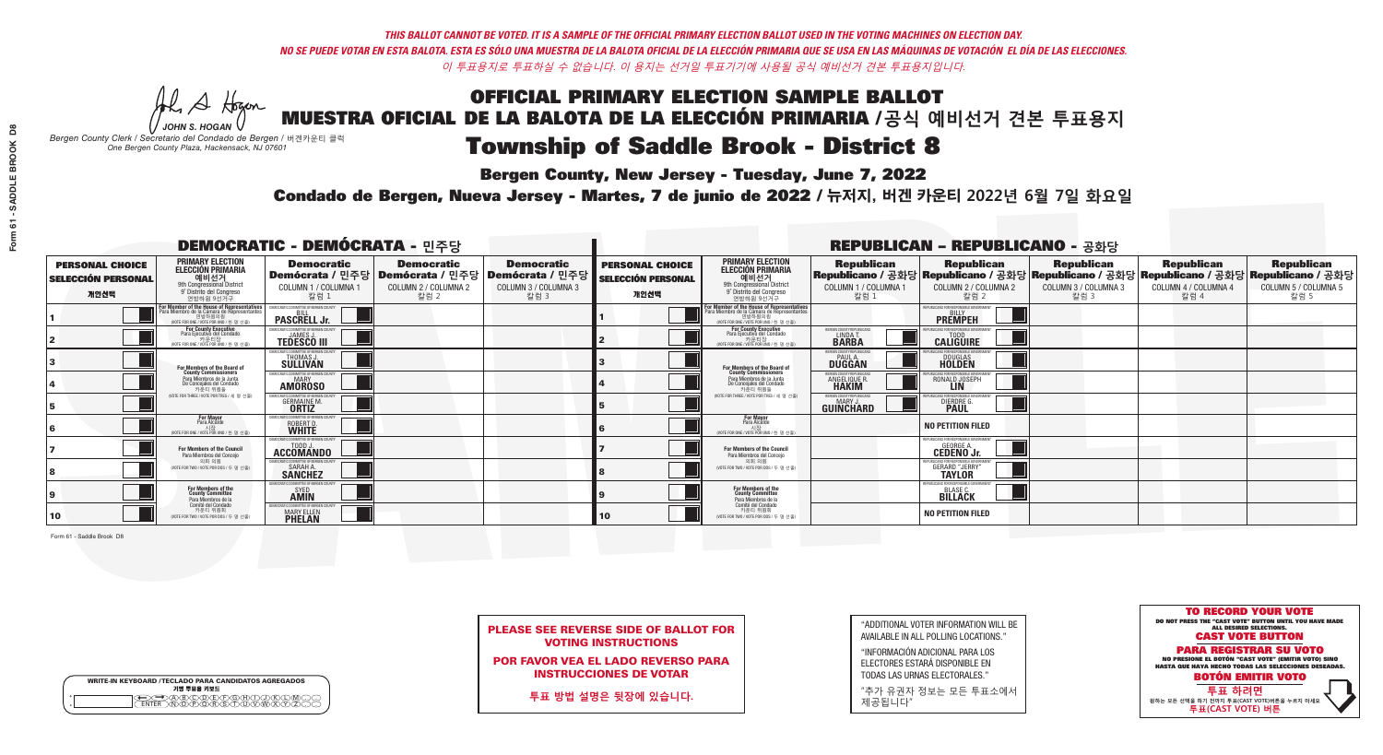# **Bergen County, New Jersey - Tuesday, June 7, 2022**

A Hogan *JOHN S. HOGAN*

| <b>WRITE-IN KEYBOARD /TECLADO PARA CANDIDATOS AGREGADOS</b><br>기명 투표용 키보드 |  |
|---------------------------------------------------------------------------|--|
| <del>_</del><br>FR\N@P\@R\\$\T\U\V\W\X                                    |  |

*Bergen County Clerk / Secretario del Condado de Bergen /* 버겐카운티 클럭 *One Bergen County Plaza, Hackensack, NJ 07601*

## Condado de Bergen, Nueva Jersey - Martes, 7 de junio de 2022 / 뉴저지, 버겐 카운티 2022년 6월 7일 화요일 *One Bergen County Plaza, Hackensack, NJ 07601*



PLEASE SEE REVERSE SIDE OF BALLOT FOR VOTING INSTRUCTIONS

POR FAVOR VEA EL LADO REVERSO PARA INSTRUCCIONES DE VOTAR

**투표 방법 설명은 뒷장에 있습니다.**

| "ADDITIONAL VOTER INFORMATION WILL BE |
|---------------------------------------|
| AVAILABLE IN ALL POLLING LOCATIONS."  |

"INFORMACIÓN ADICIONAL PARA LOS ELECTORES ESTARÁ DISPONIBLE EN TODAS LAS URNAS ELECTORALES."

"추가 유권자 정보는 모든 투표소에서 제공됩니다"

| <b>DEMOCRATIC - DEMÓCRATA - 민주당</b>                         |                                                                                                                                             |                                                                          |                                                   |                                                                                                        | <b>REPUBLICAN - REPUBLICANO - 공화당</b>                       |                                                                                                                                                     |                                                   |                                                                                                                                                 |                                                   |                                                   |                                                   |
|-------------------------------------------------------------|---------------------------------------------------------------------------------------------------------------------------------------------|--------------------------------------------------------------------------|---------------------------------------------------|--------------------------------------------------------------------------------------------------------|-------------------------------------------------------------|-----------------------------------------------------------------------------------------------------------------------------------------------------|---------------------------------------------------|-------------------------------------------------------------------------------------------------------------------------------------------------|---------------------------------------------------|---------------------------------------------------|---------------------------------------------------|
| <b>PERSONAL CHOICE</b><br><b>SELECCIÓN PERSONAL</b><br>개인선택 | <b>PRIMARY ELECTION</b><br>ELECCIÓN PRIMARIA<br>예비선거<br><sup>9th</sup> Congressional District<br>9° Distrito del Congreso<br>연방하원 9선거구      | <b>Democratic</b><br>COLUMN 1 / COLUMNA 1<br>칼럼 1                        | <b>Democratic</b><br>COLUMN 2 / COLUMNA 2<br>칼럼 2 | <b>Democratic</b><br>│Demócrata / 민주당│Demócrata / 민주당│Demócrata / 민주당│<br>COLUMN 3 / COLUMNA 3<br>칼럼 3 | <b>PERSONAL CHOICE</b><br><b>SELECCIÓN PERSONAL</b><br>개인선택 | <b>PRIMARY ELECTION</b><br>ELECCIÓN PRIMARIA<br>9th Congressional District<br>9° Distrito del Congreso<br>연방하원 9선거구                                 | <b>Republican</b><br>COLUMN 1 / COLUMNA 1<br>칼럼 : | <b>Republican</b><br>│Republicano / 공화당│Republicano / 공화당│Republicano / 공화당│Republicano / 공화당│Republicano / 공화당<br>COLUMN 2 / COLUMNA 2<br>칼럼 2 | <b>Republican</b><br>COLUMN 3 / COLUMNA 3<br>칼럼 3 | <b>Republican</b><br>COLUMN 4 / COLUMNA 4<br>칼럼 4 | <b>Republican</b><br>COLUMN 5 / COLUMNA 5<br>칼럼 5 |
|                                                             | For Member of the House of Representative<br>Para Miembro de la Cámara de Representante<br>연방하원의원<br>(VOTE FOR ONE / VOTE POR UNO / 한 명 선출) | <b>PASCRELL Jr.</b>                                                      |                                                   |                                                                                                        |                                                             | <b>For Member of the House of Representatives<br/>Para Miembro de la Cámara de Representantes</b><br>연방하원의원<br>(VOTE FOR ONE / VOTE POR UNO / 한 명 신 |                                                   | REPUBLICANS FOR RESPONSIBLE GI<br><b>PREMPEH</b>                                                                                                |                                                   |                                                   |                                                   |
|                                                             | For County Executive<br>Para Ejecutivo del Condado<br>NOTE FOR ONE / VOTE POR UNO / 한 명 선출)                                                 | <b>TEDESCO III</b>                                                       |                                                   |                                                                                                        |                                                             | <b>For County Executive</b><br>Para Ejecutivo del Condado<br>가운티장<br>(VOTE FOR ONE / VOTE POR UNO / 한 명 선출)                                         | BERGEN COUNTY REPUBLICA!<br>LINDA T.              | <b>CALIGUIRE</b>                                                                                                                                |                                                   |                                                   |                                                   |
|                                                             | For Members of the Board of<br>County Commissioners                                                                                         | EMOCRATIC COMMITTEE OF BERGEN<br><b>THOMAS J.</b><br>SULLIVAN            |                                                   |                                                                                                        |                                                             | For Members of the Board of<br>County Commissioners                                                                                                 | BERGEN COUNTY REPUBLICA!<br><b>PAUL A.</b>        | <b>DOUGLAS</b>                                                                                                                                  |                                                   |                                                   |                                                   |
|                                                             | Para Miembros de la Junta<br>De Concejales del Condado<br>카우티 위원들                                                                           | MOCRATIC COMMITTEE OF BERGEN COUN<br><b>AMOROSO</b>                      |                                                   |                                                                                                        |                                                             | Para Miembros de la Junta<br>De Concejales del Condado<br>카우티 위원들                                                                                   | ERGEN COUNTY REPUBLICAN<br>ANGELIQUE R            | CANS FOR RESPONSIBLE GOVE<br>RONALD JOSEPH                                                                                                      |                                                   |                                                   |                                                   |
|                                                             | (VOTE FOR THREE / VOTE POR TRES / 세 명 선출)                                                                                                   | ATIC COMMITTEE OF BERGEN COUNTY<br><b>GERMAINE M.</b>                    |                                                   |                                                                                                        |                                                             | (VOTE FOR THREE / VOTE POR TRES / 세 명 선출)                                                                                                           | ERGEN COUNTY REPUBLICANS<br><b>GUINCHARD</b>      | DIERDRE G.                                                                                                                                      |                                                   |                                                   |                                                   |
|                                                             | <b>For Mayor</b><br>Para Alcalde<br>NOTE FOR ONE / VOTE POR UNO / 한 명 선출)                                                                   | ROBERT D.<br>WHITE                                                       |                                                   |                                                                                                        |                                                             | <b>For Mayor</b><br>Para Alcalde<br>NOTE FOR ONE / VOTE POR UNO / 한 명 선출)                                                                           |                                                   | <b>NO PETITION FILED</b>                                                                                                                        |                                                   |                                                   |                                                   |
|                                                             | For Members of the Council<br>Para Miembros del Conceio                                                                                     | ACCOMANDO                                                                |                                                   |                                                                                                        |                                                             | <b>For Members of the Council</b><br>Para Miembros del Conceio                                                                                      |                                                   | EPUBLICANS FOR RESPONSIBLE GOVERNMENT<br><b>CEDENO Jr.</b>                                                                                      |                                                   |                                                   |                                                   |
|                                                             | 의회 의원<br>(VOTE FOR TWO / VOTE POR DOS / 두 명 선출)                                                                                             | MOCRATIC COMMITTEE OF BERGEN COUNTY<br><b>SARAH A.</b><br><b>SANCHEZ</b> |                                                   |                                                                                                        |                                                             | 의회 의원<br>(VOTE FOR TWO / VOTE POR DOS / 두 명 선출)                                                                                                     |                                                   | PHRI ICANS FOR RESPONSIRI E GOVERNI<br><b>GERARD "JERRY"</b>                                                                                    |                                                   |                                                   |                                                   |
|                                                             | For Members of the<br>County Committee<br>Para Miembros de la                                                                               | SYED<br><b>AMIN</b>                                                      |                                                   |                                                                                                        |                                                             | <b>For Members of the<br/>County Committee</b><br>Para Miembros de la<br>Comité del Condado                                                         |                                                   | EPUBLICANS FOR RESPONSIBLE G<br>BLASE C.                                                                                                        |                                                   |                                                   |                                                   |
| 10                                                          | `omité del Condado<br>카운티 위원회<br>NOTE FOR TWO / VOTE POR DOS / 두 명 선출)                                                                      | TIC COMMITTEE OF BERGEN<br><b>MARY ELLEN</b>                             |                                                   |                                                                                                        | <b>10</b>                                                   | 카운티 위원회<br>(VOTE FOR TWO / VOTE POR DOS / 두 명 선출)                                                                                                   |                                                   | <b>NO PETITION FILED</b>                                                                                                                        |                                                   |                                                   |                                                   |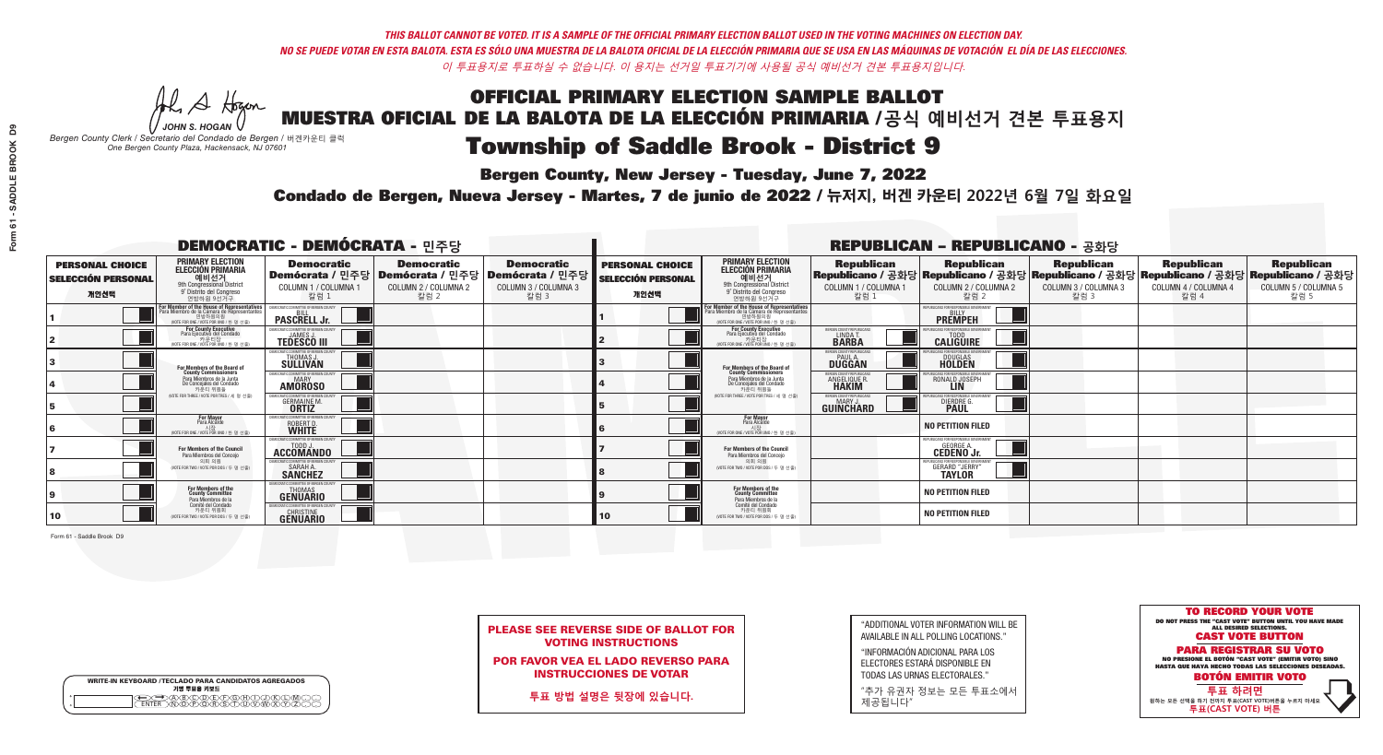**Bergen County, New Jersey - Tuesday, June 7, 2022** 

A Hogen *JOHN S. HOGAN*

| <b>WRITE-IN KEYBOARD /TECLADO PARA CANDIDATOS AGREGADOS</b><br>기명 투표용 키보드 |  |
|---------------------------------------------------------------------------|--|
| DA BOO DE PO BOO BO<br>DIN Q BORSTUMMARY<br><b>ENTER</b>                  |  |

*Bergen County Clerk / Secretario del Condado de Bergen /* 버겐카운티 클럭 *One Bergen County Plaza, Hackensack, NJ 07601*

Condado de Bergen, Nueva Jersey - Martes, 7 de junio de 2022 / 뉴저지, 버겐 카운티 2022년 6월 7일 화요일 *One Bergen County Plaza, Hackensack, NJ 07601*



PLEASE SEE REVERSE SIDE OF BALLOT FOR VOTING INSTRUCTIONS

POR FAVOR VEA EL LADO REVERSO PARA INSTRUCCIONES DE VOTAR

**투표 방법 설명은 뒷장에 있습니다.**

| "ADDITIONAL VOTER INFORMATION WILL BE |
|---------------------------------------|
| AVAILABLE IN ALL POLLING LOCATIONS."  |

"INFORMACIÓN ADICIONAL PARA LOS ELECTORES ESTARÁ DISPONIBLE EN TODAS LAS URNAS ELECTORALES."

"추가 유권자 정보는 모든 투표소에서 제공됩니다"

| <b>DEMOCRATIC - DEMÓCRATA - 민주당</b>                         |                                                                                                                                                      |                                                             |                                                   |                                                                                                        | <b>REPUBLICAN - REPUBLICANO - 공화당</b>                       |                                                                                                                                                       |                                                            |                                                                                                                                                |                                                   |                                                   |                                                   |
|-------------------------------------------------------------|------------------------------------------------------------------------------------------------------------------------------------------------------|-------------------------------------------------------------|---------------------------------------------------|--------------------------------------------------------------------------------------------------------|-------------------------------------------------------------|-------------------------------------------------------------------------------------------------------------------------------------------------------|------------------------------------------------------------|------------------------------------------------------------------------------------------------------------------------------------------------|---------------------------------------------------|---------------------------------------------------|---------------------------------------------------|
| <b>PERSONAL CHOICE</b><br><b>SELECCIÓN PERSONAL</b><br>개인선택 | <b>PRIMARY ELECTION</b><br><b>ELECCIÓN PRIMARIA</b><br>예비선거<br>9th Congressional District<br>9° Distrito del Congreso<br>연방하원 9선거구                   | <b>Democratic</b><br>COLUMN 1 / COLUMNA 1<br>칼럼 1           | <b>Democratic</b><br>COLUMN 2 / COLUMNA 2<br>칼럼 2 | <b>Democratic</b><br>│Demócrata / 민주당│Demócrata / 민주당│Demócrata / 민주당│<br>COLUMN 3 / COLUMNA 3<br>칼럼 3 | <b>PERSONAL CHOICE</b><br><b>SELECCIÓN PERSONAL</b><br>개인선택 | <b>PRIMARY ELECTION</b><br><b>ELECCIÓN PRIMARIA</b><br>예비선거<br>9th Congressional District<br>9° Distrito del Congreso<br>연방하원 9선거구                    | <b>Republican</b><br>COLUMN 1 / COLUMNA 1<br>칼럼 1          | <b>Republican</b><br>Republicano / 공화당 Republicano / 공화당 Republicano / 공화당 Republicano / 공화당 Republicano / 공화당<br>COLUMN 2 / COLUMNA 2<br>칼럼 2 | <b>Republican</b><br>COLUMN 3 / COLUMNA 3<br>칼럼 3 | <b>Republican</b><br>COLUMN 4 / COLUMNA 4<br>칼럼 4 | <b>Republican</b><br>COLUMN 5 / COLUMNA 5<br>칼럼 5 |
|                                                             | <b>For Member of the House of Representatives</b><br>Para Miembro de la Cámara de Representantes<br>연방하원의원<br>(VOTE FOR ONE / VOTE POR UNO / 한 명 선출) | <b>PASCRELL Jr.</b>                                         |                                                   |                                                                                                        |                                                             | <b>For Member of the House of Representatives<br/>Para Miembro de la Cámara de Representantes</b><br>연방하원의원<br>(VOTE FOR ONE / VOTE POR UNO / 한 명 선출) |                                                            | FPUBLICANS FOR RESPONSIBLE GOVERNMEN<br><b>PREMPEH</b>                                                                                         |                                                   |                                                   |                                                   |
|                                                             | <b>For County Executive</b><br>Para Ejecutivo del Condado<br>카운티장<br>(VOTE FOR ONE / VOTE POR UNO / 한 명 선출)                                          | JEMOCRATIC COMMITTEE OF BERGEN COUNTY<br><b>TEDESCO III</b> |                                                   |                                                                                                        |                                                             | <b>For County Executive</b><br>Para Ejecutivo del Condado<br>7) 카운티장<br>(VOTE FOR ONE / VOTE POR UNO / 한 명 선출)                                        | BERGEN COUNTY REPUBLICAN<br>LINDA T.                       | <b>CALIGUIRE</b>                                                                                                                               |                                                   |                                                   |                                                   |
|                                                             | For Members of the Board of<br>County Commissioners                                                                                                  | EMOCRATIC COMMITTEE OF BERGEN COUNT<br><b>SULLIVAN</b>      |                                                   |                                                                                                        |                                                             | For Members of the Board of<br>County Commissioners                                                                                                   | ERGEN COUNTY REPUBLICAN<br><b>PAUL A.</b><br><b>DUGGAN</b> | DOUGLAS<br>HOLDEN                                                                                                                              |                                                   |                                                   |                                                   |
|                                                             | Para Miembros de la Junta<br>De Concejales del Condado<br>카우티 위원들                                                                                    | MOCRATIC COMMITTEE OF BERGEN COUNT<br><b>AMOROSO</b>        |                                                   |                                                                                                        |                                                             | Para Miembros de la Junta<br>De Concejales del Condado<br>카운티 위원들                                                                                     | ERGEN COUNTY REPUBLICAN<br>ANGELIQUE R                     | RONALD JOSEPH                                                                                                                                  |                                                   |                                                   |                                                   |
|                                                             | NOTE FOR THREE / VOTE POR TRES / 세 명 선출)                                                                                                             | 'RATIC COMMITTEE OF RERGEN COLIN<br><b>GERMAINE M.</b>      |                                                   |                                                                                                        |                                                             | (VOTE FOR THREE / VOTE POR TRES / 세 명 선출)                                                                                                             | <b>ERGEN COUNTY REPUBLICANS</b><br><b>GUINCHARD</b>        | LICANS FOR RESPONSIBLE G<br>DIERDRE G                                                                                                          |                                                   |                                                   |                                                   |
|                                                             | <b>For Mayor</b><br>Para Alcalde<br>NOTE FOR ONE / VOTE POR UNO / 한 명 신                                                                              | MOCRATIC COMMITTEE OF BERGEN COUNT<br>ROBERT D.             |                                                   |                                                                                                        |                                                             | <b>For Mayor</b><br>Para Alcalde<br>NOTE FOR ONE / VOTE POR UNO / 한 명 선출                                                                              |                                                            | <b>NO PETITION FILED</b>                                                                                                                       |                                                   |                                                   |                                                   |
|                                                             | <b>For Members of the Council</b><br>Para Miembros del Conceio                                                                                       | EMOCRATIC COMMITTEE OF BERGEN COUNTY<br>ACCOMANDO           |                                                   |                                                                                                        |                                                             | <b>For Members of the Council</b><br>Para Miembros del Conceio                                                                                        |                                                            | PUBLICANS FOR RESPONSIBLE GOVERNMENT<br><b>GEORGE A.</b><br><b>CEDENO Jr.</b>                                                                  |                                                   |                                                   |                                                   |
|                                                             | 의회 의원<br>(VOTE FOR TWO / VOTE POR DOS / 두 명 선출)                                                                                                      | <b>EMOCRATIC COMMITTEE OF BERGEN COUNTY</b><br>SARAH A.     |                                                   |                                                                                                        |                                                             | 의회 의원<br>WOTE FOR TWO / VOTE POR DOS / 두 명 선출)                                                                                                        |                                                            | UBLICANS FOR RESPONSIBLE GOVERNMEN<br><b>GERARD "JERRY"</b>                                                                                    |                                                   |                                                   |                                                   |
|                                                             | For Members of the<br>County Committee<br>Para Miembros de la                                                                                        | <b>GENUARIO</b>                                             |                                                   |                                                                                                        |                                                             | For Members of the<br>County Committee<br>Para Miembros de la<br>Comité del Condado                                                                   |                                                            | <b>NO PETITION FILED</b>                                                                                                                       |                                                   |                                                   |                                                   |
| 10                                                          | Comité del Condado<br>카운티 위원회<br>(VOTE FOR TWO / VOTE POR DOS / 두 명 선출)                                                                              | MOCRATIC COMMITTEE OF BERGEN COUNT<br><b>GENUARIO</b>       |                                                   |                                                                                                        | 10                                                          | 카운티 위원회<br>(VOTE FOR TWO / VOTE POR DOS / 두 명 선출)                                                                                                     |                                                            | <b>NO PETITION FILED</b>                                                                                                                       |                                                   |                                                   |                                                   |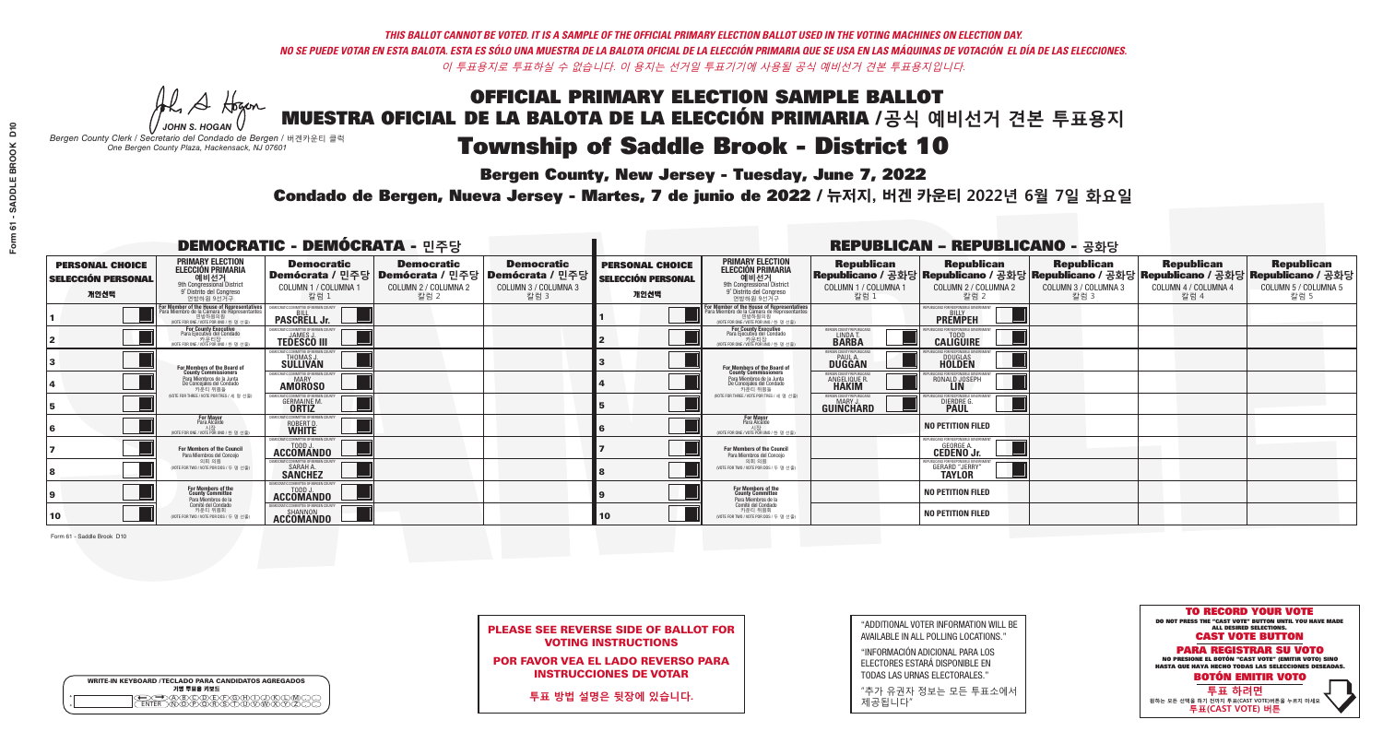**Bergen County, New Jersey - Tuesday, June 7, 2022** 

A Hogan *JOHN S. HOGAN*

| <b>WRITE-IN KEYBOARD /TECLADO PARA CANDIDATOS AGREGADOS</b><br>기명 투표용 키보드 |  |
|---------------------------------------------------------------------------|--|
| ABCOEFGAA                                                                 |  |

*Bergen County Clerk / Secretario del Condado de Bergen /* 버겐카운티 클럭 *One Bergen County Plaza, Hackensack, NJ 07601*

Condado de Bergen, Nueva Jersey - Martes, 7 de junio de 2022 / 뉴저지, 버겐 카운티 2022년 6월 7일 화요일 *One Bergen County Plaza, Hackensack, NJ 07601*



PLEASE SEE REVERSE SIDE OF BALLOT FOR VOTING INSTRUCTIONS

POR FAVOR VEA EL LADO REVERSO PARA INSTRUCCIONES DE VOTAR

**투표 방법 설명은 뒷장에 있습니다.**

| "ADDITIONAL VOTER INFORMATION WILL BE |
|---------------------------------------|
| AVAILABLE IN ALL POLLING LOCATIONS."  |

"INFORMACIÓN ADICIONAL PARA LOS ELECTORES ESTARÁ DISPONIBLE EN TODAS LAS URNAS ELECTORALES."

"추가 유권자 정보는 모든 투표소에서 제공됩니다"

| <b>DEMOCRATIC - DEMÓCRATA - 민주당</b>                         |                                                                                                                                               |                                                                                  |                                                   |                                                                                                        | <b>REPUBLICAN - REPUBLICANO - 공화당</b>                       |                                                                                                                     |                                                           |                                                                                                                                                                                                             |                              |                              |                              |
|-------------------------------------------------------------|-----------------------------------------------------------------------------------------------------------------------------------------------|----------------------------------------------------------------------------------|---------------------------------------------------|--------------------------------------------------------------------------------------------------------|-------------------------------------------------------------|---------------------------------------------------------------------------------------------------------------------|-----------------------------------------------------------|-------------------------------------------------------------------------------------------------------------------------------------------------------------------------------------------------------------|------------------------------|------------------------------|------------------------------|
| <b>PERSONAL CHOICE</b><br><b>SELECCIÓN PERSONAL</b><br>개인선택 | <b>PRIMARY ELECTION</b><br>ELECCIÓN PRIMARIA<br>예비선거<br><sup>9th</sup> Congressional District<br>9° Distrito del Congreso<br>연방하워 9선거구        | <b>Democratic</b><br>COLUMN 1 / COLUMNA 1<br>칼럼 1                                | <b>Democratic</b><br>COLUMN 2 / COLUMNA 2<br>칼럼 2 | <b>Democratic</b><br>│Demócrata / 민주당│Demócrata / 민주당│Demócrata / 민주당│<br>COLUMN 3 / COLUMNA 3<br>칼럼 3 | <b>PERSONAL CHOICE</b><br><b>SELECCIÓN PERSONAL</b><br>개인선택 | <b>PRIMARY ELECTION</b><br>ELECCIÓN PRIMARIA<br>9th Congressional District<br>9° Distrito del Congreso<br>연방하워 9선거구 | COLUMN 1 / COLUMNA 1<br>칼럼 1                              | │ Republican   Republican   Republican   Republican   Republican   Republican<br>│Republicano / 공화당│Republicano / 공화당│Republicano / 공화당│Republicano / 공화당│Republicano / 공화당<br>COLUMN 2 / COLUMNA 2<br>칼럼 2 | COLUMN 3 / COLUMNA 3<br>칼럼 3 | COLUMN 4 / COLUMNA 4<br>칼럼 4 | COLUMN 5 / COLUMNA 5<br>칼럼 5 |
|                                                             | For Member of the House of Representatives<br>Para Miembro de la Cámara de Representantes<br>연방하원의원<br>(VOTE FOR ONE / VOTE POR UNO / 한 명 선출) | <b>PASCRELL Jr.</b>                                                              |                                                   |                                                                                                        |                                                             | F <mark>or Member of the House of Representatives</mark><br>Para Miembro de la Cámara de Representantes             |                                                           | <b>PREMPEH</b>                                                                                                                                                                                              |                              |                              |                              |
|                                                             | <b>For County Executive</b><br>Para Ejecutivo del Condado<br>7 카운티장<br>(VOTE FOR ONE / VOTE POR UNO / 한 명 선출)                                 | JEMOCRATIC COMMITTEE OF BERGEN COUNTY<br><b>TEDESCO III</b>                      |                                                   |                                                                                                        |                                                             | For County Executive<br>Para Ejecutivo del Condado<br>7 카운티장<br>(VOTE FOR ONE / VOTE POR UNO / 한 명 선출               | BERGEN COUNTY REPUBLICAN<br><b>LINDAT</b><br><b>BARBA</b> | <b>CALIGUIRE</b>                                                                                                                                                                                            |                              |                              |                              |
|                                                             | For Members of the Board of<br>County Commissioners                                                                                           | MOCRATIC COMMITTEE OF BERGEN CI<br>THOMAS J.                                     |                                                   |                                                                                                        |                                                             | For Members of the Board of<br>County Commissioners                                                                 | ERGEN COUNTY REPUBLICA<br><b>PAUL A.</b><br><b>DUGGAN</b> | <b>DOUGLAS</b><br><b>HOLDEN</b>                                                                                                                                                                             |                              |                              |                              |
|                                                             | Para Miembros de la Junta<br>De Concejales del Condado<br>카우티 위원들                                                                             | OCRATIC COMMITTEE OF BERGEN COUNT<br><b>AMOROSO</b>                              |                                                   |                                                                                                        |                                                             | Para Miembros de la Junta<br>De Concejales del Condado<br>카우티 위원들                                                   | ERGEN COUNTY REPUBLICAN<br><b>ANGELIQUE R<br/>HAKIM</b>   | ICANS FOR RESPONSIBLE GOV<br>RONALD JOSEPH                                                                                                                                                                  |                              |                              |                              |
|                                                             | NOTE FOR THREE / VOTE POR TRES / 세 명 선출)                                                                                                      | RATIC COMMITTEE OF RERGEN COLIN<br><b>GERMAINE M.</b>                            |                                                   |                                                                                                        |                                                             | (VOTE FOR THREE / VOTE POR TRES / 세 명 선출)                                                                           | ERGEN COUNTY REPUBLICAN<br><b>GUINCHARD</b>               | DIERDRE G.                                                                                                                                                                                                  |                              |                              |                              |
|                                                             | <b>For Mayor</b><br>Para Alcalde<br>NOTE FOR ONE / VOTE POR UNO / 한 명                                                                         | MOCRATIC COMMITTEE OF BERGE<br>ROBERT D.                                         |                                                   |                                                                                                        |                                                             | For Mayor<br>Para Alcalde<br>NOTE FOR ONE / VOTE POR UNO / 한 명 선출                                                   |                                                           | <b>NO PETITION FILED</b>                                                                                                                                                                                    |                              |                              |                              |
|                                                             | <b>For Members of the Council</b><br>Para Miembros del Conceio                                                                                | MOCRATIC COMMITTEE OF BERGEN COUNT:<br>ACCOMANDO                                 |                                                   |                                                                                                        |                                                             | <b>For Members of the Council</b><br>Para Miembros del Conceio                                                      |                                                           | EPUBLICANS FOR RESPONSIBLE GOVERNMENT<br><b>CEDENO Jr.</b>                                                                                                                                                  |                              |                              |                              |
|                                                             | 의회 의원<br>(VOTE FOR TWO / VOTE POR DOS / 두 명 선출)                                                                                               | <b>EMOCRATIC COMMITTEE OF BEBGEN COUNTY</b><br><b>SARAH A.</b><br><b>SANCHEZ</b> |                                                   |                                                                                                        |                                                             | 의회 의원<br>NOTE FOR TWO / VOTE POR DOS / 두 명 선출)                                                                      |                                                           | UBLICANS FOR RESPONSIBLE GOVERNMEN<br><b>GERARD "JERRY"</b>                                                                                                                                                 |                              |                              |                              |
|                                                             | For Members of the<br>County Committee<br>Para Miembros de la                                                                                 | TODD J.<br><b>ACCOMANDO</b>                                                      |                                                   |                                                                                                        |                                                             | For Members of the<br>County Committee<br>Para Miembros de la<br>Comité del Condado                                 |                                                           | <b>NO PETITION FILED</b>                                                                                                                                                                                    |                              |                              |                              |
| 10                                                          | Comité del Condado<br>카운티 위원회<br>(VOTE FOR TWO / VOTE POR DOS / 두 명 선출)                                                                       | EMOCRATIC COMMITTEE OF BERGEN COUNTY<br><b>ACCOMANDO</b>                         |                                                   |                                                                                                        | 10                                                          | 카운티 위원회<br>(VOTE FOR TWO / VOTE POR DOS / 두 명 선출)                                                                   |                                                           | <b>NO PETITION FILED</b>                                                                                                                                                                                    |                              |                              |                              |